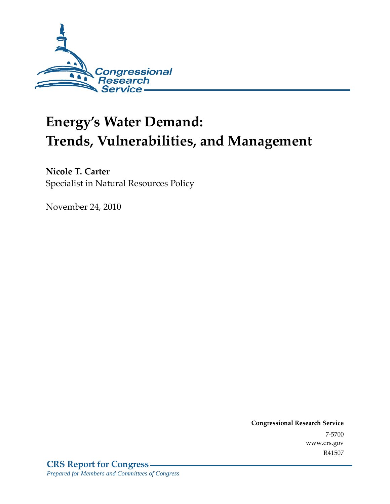

# **Energy's Water Demand: Trends, Vulnerabilities, and Management**

**Nicole T. Carter**  Specialist in Natural Resources Policy

November 24, 2010

**Congressional Research Service** 7-5700 www.crs.gov R41507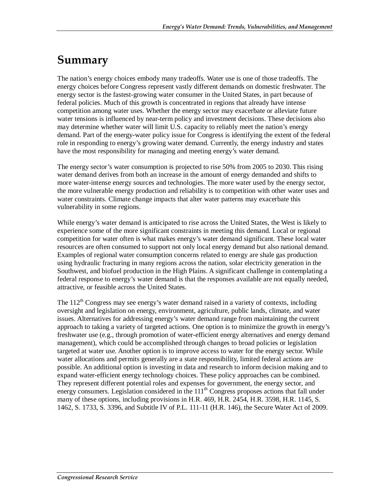# **Summary**

The nation's energy choices embody many tradeoffs. Water use is one of those tradeoffs. The energy choices before Congress represent vastly different demands on domestic freshwater. The energy sector is the fastest-growing water consumer in the United States, in part because of federal policies. Much of this growth is concentrated in regions that already have intense competition among water uses. Whether the energy sector may exacerbate or alleviate future water tensions is influenced by near-term policy and investment decisions. These decisions also may determine whether water will limit U.S. capacity to reliably meet the nation's energy demand. Part of the energy-water policy issue for Congress is identifying the extent of the federal role in responding to energy's growing water demand. Currently, the energy industry and states have the most responsibility for managing and meeting energy's water demand.

The energy sector's water consumption is projected to rise 50% from 2005 to 2030. This rising water demand derives from both an increase in the amount of energy demanded and shifts to more water-intense energy sources and technologies. The more water used by the energy sector, the more vulnerable energy production and reliability is to competition with other water uses and water constraints. Climate change impacts that alter water patterns may exacerbate this vulnerability in some regions.

While energy's water demand is anticipated to rise across the United States, the West is likely to experience some of the more significant constraints in meeting this demand. Local or regional competition for water often is what makes energy's water demand significant. These local water resources are often consumed to support not only local energy demand but also national demand. Examples of regional water consumption concerns related to energy are shale gas production using hydraulic fracturing in many regions across the nation, solar electricity generation in the Southwest, and biofuel production in the High Plains. A significant challenge in contemplating a federal response to energy's water demand is that the responses available are not equally needed, attractive, or feasible across the United States.

The  $112<sup>th</sup>$  Congress may see energy's water demand raised in a variety of contexts, including oversight and legislation on energy, environment, agriculture, public lands, climate, and water issues. Alternatives for addressing energy's water demand range from maintaining the current approach to taking a variety of targeted actions. One option is to minimize the growth in energy's freshwater use (e.g., through promotion of water-efficient energy alternatives and energy demand management), which could be accomplished through changes to broad policies or legislation targeted at water use. Another option is to improve access to water for the energy sector. While water allocations and permits generally are a state responsibility, limited federal actions are possible. An additional option is investing in data and research to inform decision making and to expand water-efficient energy technology choices. These policy approaches can be combined. They represent different potential roles and expenses for government, the energy sector, and energy consumers. Legislation considered in the  $111<sup>th</sup>$  Congress proposes actions that fall under many of these options, including provisions in H.R. 469, H.R. 2454, H.R. 3598, H.R. 1145, S. 1462, S. 1733, S. 3396, and Subtitle IV of P.L. 111-11 (H.R. 146), the Secure Water Act of 2009.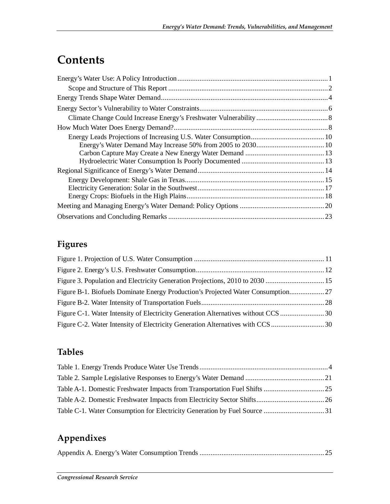# **Contents**

## **Figures**

| Figure B-1. Biofuels Dominate Energy Production's Projected Water Consumption |  |
|-------------------------------------------------------------------------------|--|
|                                                                               |  |
|                                                                               |  |
|                                                                               |  |

## **Tables**

## **Appendixes**

|--|--|--|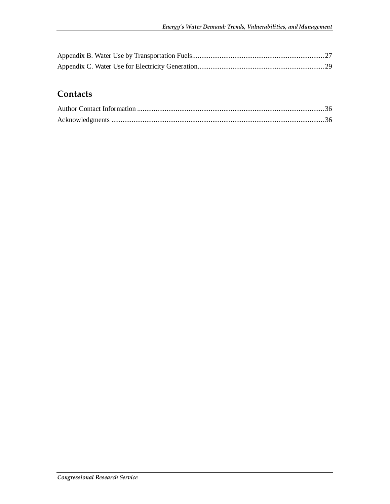## **Contacts**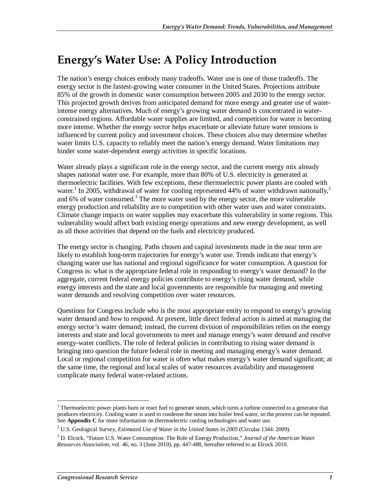# **Energy's Water Use: A Policy Introduction**

The nation's energy choices embody many tradeoffs. Water use is one of those tradeoffs. The energy sector is the fastest-growing water consumer in the United States. Projections attribute 85% of the growth in domestic water consumption between 2005 and 2030 to the energy sector. This projected growth derives from anticipated demand for more energy and greater use of waterintense energy alternatives. Much of energy's growing water demand is concentrated in waterconstrained regions. Affordable water supplies are limited, and competition for water is becoming more intense. Whether the energy sector helps exacerbate or alleviate future water tensions is influenced by current policy and investment choices. These choices also may determine whether water limits U.S. capacity to reliably meet the nation's energy demand. Water limitations may hinder some water-dependent energy activities in specific locations.

Water already plays a significant role in the energy sector, and the current energy mix already shapes national water use. For example, more than 80% of U.S. electricity is generated at thermoelectric facilities. With few exceptions, these thermoelectric power plants are cooled with water.<sup>1</sup> In 2005, withdrawal of water for cooling represented 44% of water withdrawn nationally,<sup>2</sup> and 6% of water consumed.<sup>3</sup> The more water used by the energy sector, the more vulnerable energy production and reliability are to competition with other water uses and water constraints. Climate change impacts on water supplies may exacerbate this vulnerability in some regions. This vulnerability would affect both existing energy operations and new energy development, as well as all those activities that depend on the fuels and electricity produced.

The energy sector is changing. Paths chosen and capital investments made in the near term are likely to establish long-term trajectories for energy's water use. Trends indicate that energy's changing water use has national and regional significance for water consumption. A question for Congress is: what is the appropriate federal role in responding to energy's water demand? In the aggregate, current federal energy policies contribute to energy's rising water demand, while energy interests and the state and local governments are responsible for managing and meeting water demands and resolving competition over water resources.

Questions for Congress include *who* is the most appropriate entity to respond to energy's growing water demand and *how* to respond. At present, little direct federal action is aimed at managing the energy sector's water demand; instead, the current division of responsibilities relies on the energy interests and state and local governments to meet and manage energy's water demand and resolve energy-water conflicts. The role of federal policies in contributing to rising water demand is bringing into question the future federal role in meeting and managing energy's water demand. Local or regional competition for water is often what makes energy's water demand significant; at the same time, the regional and local scales of water resources availability and management complicate many federal water-related actions.

Thermoelectric power plants burn or react fuel to generate steam, which turns a turbine connected to a generator that <sup>1</sup> produces electricity. Cooling water is used to condense the steam into boiler feed water, so the process can be repeated. See **Appendix C** for more information on thermoelectric cooling technologies and water use.

<sup>2</sup> U.S. Geological Survey, *Estimated Use of Water in the United States in 2005* (Circular 1344: 2009).

<sup>3</sup> D. Elcock, "Future U.S. Water Consumption: The Role of Energy Production," *Journal of the American Water Resources Association*, vol. 46, no. 3 (June 2010), pp. 447-480, hereafter referred to as Elcock 2010.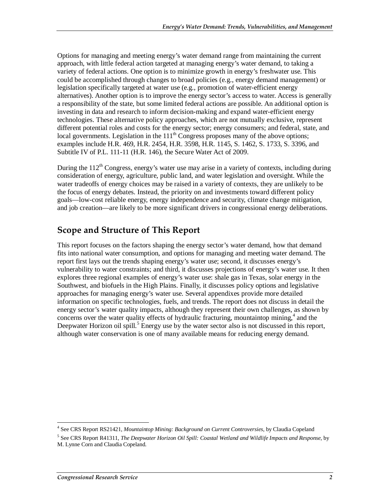Options for managing and meeting energy's water demand range from maintaining the current approach, with little federal action targeted at managing energy's water demand, to taking a variety of federal actions. One option is to minimize growth in energy's freshwater use. This could be accomplished through changes to broad policies (e.g., energy demand management) or legislation specifically targeted at water use (e.g., promotion of water-efficient energy alternatives). Another option is to improve the energy sector's access to water. Access is generally a responsibility of the state, but some limited federal actions are possible. An additional option is investing in data and research to inform decision-making and expand water-efficient energy technologies. These alternative policy approaches, which are not mutually exclusive, represent different potential roles and costs for the energy sector; energy consumers; and federal, state, and local governments. Legislation in the  $111<sup>th</sup>$  Congress proposes many of the above options; examples include H.R. 469, H.R. 2454, H.R. 3598, H.R. 1145, S. 1462, S. 1733, S. 3396, and Subtitle IV of P.L. 111-11 (H.R. 146), the Secure Water Act of 2009.

During the  $112^{th}$  Congress, energy's water use may arise in a variety of contexts, including during consideration of energy, agriculture, public land, and water legislation and oversight. While the water tradeoffs of energy choices may be raised in a variety of contexts, they are unlikely to be the focus of energy debates. Instead, the priority on and investments toward different policy goals—low-cost reliable energy, energy independence and security, climate change mitigation, and job creation—are likely to be more significant drivers in congressional energy deliberations.

## **Scope and Structure of This Report**

This report focuses on the factors shaping the energy sector's water demand, how that demand fits into national water consumption, and options for managing and meeting water demand. The report first lays out the trends shaping energy's water use; second, it discusses energy's vulnerability to water constraints; and third, it discusses projections of energy's water use. It then explores three regional examples of energy's water use: shale gas in Texas, solar energy in the Southwest, and biofuels in the High Plains. Finally, it discusses policy options and legislative approaches for managing energy's water use. Several appendixes provide more detailed information on specific technologies, fuels, and trends. The report does not discuss in detail the energy sector's water quality impacts, although they represent their own challenges, as shown by concerns over the water quality effects of hydraulic fracturing, mountaintop mining, $4$  and the Deepwater Horizon oil spill.<sup>5</sup> Energy use by the water sector also is not discussed in this report, although water conservation is one of many available means for reducing energy demand.

 4 See CRS Report RS21421, *Mountaintop Mining: Background on Current Controversies*, by Claudia Copeland

<sup>5</sup> See CRS Report R41311, *The Deepwater Horizon Oil Spill: Coastal Wetland and Wildlife Impacts and Response*, by M. Lynne Corn and Claudia Copeland.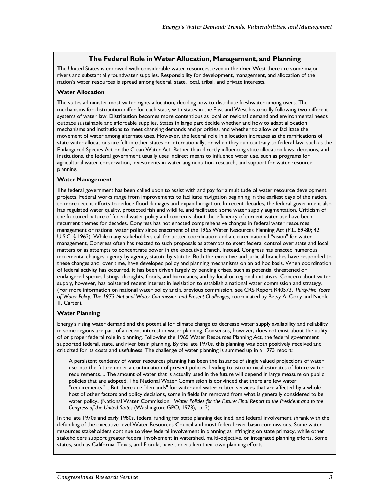#### **The Federal Role in Water Allocation, Management, and Planning**

The United States is endowed with considerable water resources; even in the drier West there are some major rivers and substantial groundwater supplies. Responsibility for development, management, and allocation of the nation's water resources is spread among federal, state, local, tribal, and private interests.

#### **Water Allocation**

The states administer most water rights allocation, deciding how to distribute freshwater among users. The mechanisms for distribution differ for each state, with states in the East and West historically following two different systems of water law. Distribution becomes more contentious as local or regional demand and environmental needs outpace sustainable and affordable supplies. States in large part decide whether and how to adapt allocation mechanisms and institutions to meet changing demands and priorities, and whether to allow or facilitate the movement of water among alternate uses. However, the federal role in allocation increases as the ramifications of state water allocations are felt in other states or internationally, or when they run contrary to federal law, such as the Endangered Species Act or the Clean Water Act. Rather than directly influencing state allocation laws, decisions, and institutions, the federal government usually uses indirect means to influence water use, such as programs for agricultural water conservation, investments in water augmentation research, and support for water resource planning.

#### **Water Management**

The federal government has been called upon to assist with and pay for a multitude of water resource development projects. Federal works range from improvements to facilitate navigation beginning in the earliest days of the nation, to more recent efforts to reduce flood damages and expand irrigation. In recent decades, the federal government also has regulated water quality, protected fish and wildlife, and facilitated some water supply augmentation. Criticism of the fractured nature of federal water policy and concerns about the efficiency of current water use have been recurrent themes for decades. Congress has not enacted comprehensive changes in federal water resources management or national water policy since enactment of the 1965 Water Resources Planning Act (P.L. 89-80; 42 U.S.C. § 1962). While many stakeholders call for better coordination and a clearer national "vision" for water management, Congress often has reacted to such proposals as attempts to exert federal control over state and local matters or as attempts to concentrate power in the executive branch. Instead, Congress has enacted numerous incremental changes, agency by agency, statute by statute. Both the executive and judicial branches have responded to these changes and, over time, have developed policy and planning mechanisms on an ad hoc basis. When coordination of federal activity has occurred, it has been driven largely by pending crises, such as potential threatened or endangered species listings, droughts, floods, and hurricanes; and by local or regional initiatives. Concern about water supply, however, has bolstered recent interest in legislation to establish a national water commission and strategy. (For more information on national water policy and a previous commission, see CRS Report R40573, *Thirty-Five Years of Water Policy: The 1973 National Water Commission and Present Challenges*, coordinated by Betsy A. Cody and Nicole T. Carter).

#### **Water Planning**

Energy's rising water demand and the potential for climate change to decrease water supply availability and reliability in some regions are part of a recent interest in water planning. Consensus, however, does not exist about the utility of or proper federal role in planning. Following the 1965 Water Resources Planning Act, the federal government supported federal, state, and river basin planning. By the late 1970s, this planning was both positively received and criticized for its costs and usefulness. The challenge of water planning is summed up in a 1973 report:

A persistent tendency of water resources planning has been the issuance of single valued projections of water use into the future under a continuation of present policies, leading to astronomical estimates of future water requirements.... The amount of water that is actually used in the future will depend in large measure on public policies that are adopted. The National Water Commission is convinced that there are few water "requirements."... But there are "demands" for water and water-related services that are affected by a whole host of other factors and policy decisions, some in fields far removed from what is generally considered to be water policy. (National Water Commission, *Water Policies for the Future: Final Report to the President and to the Congress of the United States* (Washington: GPO, 1973), p. 2)

In the late 1970s and early 1980s, federal funding for state planning declined, and federal involvement shrank with the defunding of the executive-level Water Resources Council and most federal river basin commissions. Some water resources stakeholders continue to view federal involvement in planning as infringing on state primacy, while other stakeholders support greater federal involvement in watershed, multi-objective, or integrated planning efforts. Some states, such as California, Texas, and Florida, have undertaken their own planning efforts.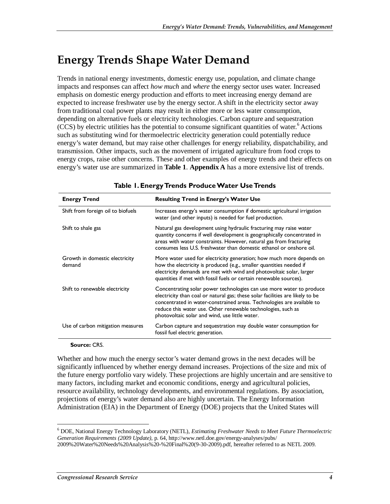# **Energy Trends Shape Water Demand**

Trends in national energy investments, domestic energy use, population, and climate change impacts and responses can affect *how much* and *where* the energy sector uses water. Increased emphasis on domestic energy production and efforts to meet increasing energy demand are expected to increase freshwater use by the energy sector. A shift in the electricity sector away from traditional coal power plants may result in either more or less water consumption, depending on alternative fuels or electricity technologies. Carbon capture and sequestration (CCS) by electric utilities has the potential to consume significant quantities of water.<sup>6</sup> Actions such as substituting wind for thermoelectric electricity generation could potentially reduce energy's water demand, but may raise other challenges for energy reliability, dispatchability, and transmission. Other impacts, such as the movement of irrigated agriculture from food crops to energy crops, raise other concerns. These and other examples of energy trends and their effects on energy's water use are summarized in **Table 1**. **Appendix A** has a more extensive list of trends.

| <b>Energy Trend</b>                      | <b>Resulting Trend in Energy's Water Use</b>                                                                                                                                                                                                                                                                                                      |
|------------------------------------------|---------------------------------------------------------------------------------------------------------------------------------------------------------------------------------------------------------------------------------------------------------------------------------------------------------------------------------------------------|
| Shift from foreign oil to biofuels       | Increases energy's water consumption if domestic agricultural irrigation<br>water (and other inputs) is needed for fuel production.                                                                                                                                                                                                               |
| Shift to shale gas                       | Natural gas development using hydraulic fracturing may raise water<br>quantity concerns if well development is geographically concentrated in<br>areas with water constraints. However, natural gas from fracturing<br>consumes less U.S. freshwater than domestic ethanol or onshore oil.                                                        |
| Growth in domestic electricity<br>demand | More water used for electricity generation; how much more depends on<br>how the electricity is produced (e.g., smaller quantities needed if<br>electricity demands are met with wind and photovoltaic solar, larger<br>quantities if met with fossil fuels or certain renewable sources).                                                         |
| Shift to renewable electricity           | Concentrating solar power technologies can use more water to produce<br>electricity than coal or natural gas; these solar facilities are likely to be<br>concentrated in water-constrained areas. Technologies are available to<br>reduce this water use. Other renewable technologies, such as<br>photovoltaic solar and wind, use little water. |
| Use of carbon mitigation measures        | Carbon capture and sequestration may double water consumption for<br>fossil fuel electric generation.                                                                                                                                                                                                                                             |

#### **Table 1. Energy Trends Produce Water Use Trends**

#### **Source:** CRS.

-

Whether and how much the energy sector's water demand grows in the next decades will be significantly influenced by whether energy demand increases. Projections of the size and mix of the future energy portfolio vary widely. These projections are highly uncertain and are sensitive to many factors, including market and economic conditions, energy and agricultural policies, resource availability, technology developments, and environmental regulations. By association, projections of energy's water demand also are highly uncertain. The Energy Information Administration (EIA) in the Department of Energy (DOE) projects that the United States will

<sup>6</sup> DOE, National Energy Technology Laboratory (NETL), *Estimating Freshwater Needs to Meet Future Thermoelectric Generation Requirements (2009 Update)*, p. 64, http://www.netl.doe.gov/energy-analyses/pubs/ 2009%20Water%20Needs%20Analysis%20-%20Final%20(9-30-2009).pdf, hereafter referred to as NETL 2009.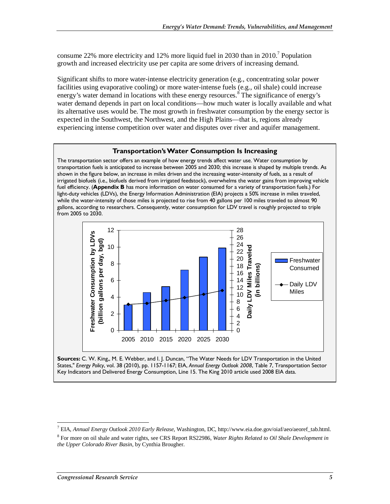consume 22% more electricity and 12% more liquid fuel in 2030 than in 2010.<sup>7</sup> Population growth and increased electricity use per capita are some drivers of increasing demand.

Significant shifts to more water-intense electricity generation (e.g., concentrating solar power facilities using evaporative cooling) or more water-intense fuels (e.g., oil shale) could increase energy's water demand in locations with these energy resources.<sup>8</sup> The significance of energy's water demand depends in part on local conditions—how much water is locally available and what its alternative uses would be. The most growth in freshwater consumption by the energy sector is expected in the Southwest, the Northwest, and the High Plains—that is, regions already experiencing intense competition over water and disputes over river and aquifer management.

#### **Transportation's Water Consumption Is Increasing**

The transportation sector offers an example of how energy trends affect water use. Water consumption by transportation fuels is anticipated to increase between 2005 and 2030; this increase is shaped by multiple trends. As shown in the figure below, an increase in miles driven and the increasing water-intensity of fuels, as a result of irrigated biofuels (i.e., biofuels derived from irrigated feedstock), overwhelms the water gains from improving vehicle fuel efficiency. (**Appendix B** has more information on water consumed for a variety of transportation fuels.) For light-duty vehicles (LDVs), the Energy Information Administration (EIA) projects a 50% increase in miles traveled, while the water-intensity of those miles is projected to rise from 40 gallons per 100 miles traveled to almost 90 gallons, according to researchers. Consequently, water consumption for LDV travel is roughly projected to triple from 2005 to 2030.



**Sources:** C. W. King,, M. E. Webber, and I. J. Duncan, "The Water Needs for LDV Transportation in the United States," *Energy Policy*, vol. 38 (2010), pp. 1157-1167; EIA, *Annual Energy Outlook 2008*, Table 7, Transportation Sector Key Indicators and Delivered Energy Consumption, Line 15. The King 2010 article used 2008 EIA data.

<sup>-</sup>7 EIA, *Annual Energy Outlook 2010 Early Release*, Washington, DC, http://www.eia.doe.gov/oiaf/aeo/aeoref\_tab.html.

<sup>8</sup> For more on oil shale and water rights, see CRS Report RS22986, *Water Rights Related to Oil Shale Development in the Upper Colorado River Basin*, by Cynthia Brougher.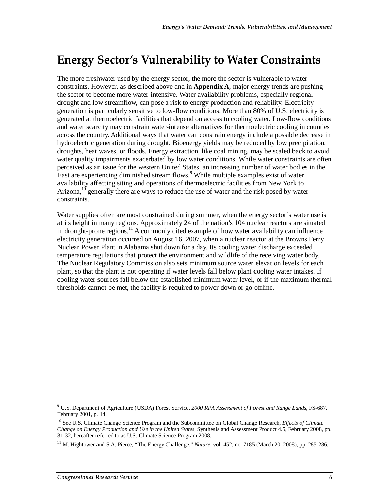# **Energy Sector's Vulnerability to Water Constraints**

The more freshwater used by the energy sector, the more the sector is vulnerable to water constraints. However, as described above and in **Appendix A**, major energy trends are pushing the sector to become more water-intensive. Water availability problems, especially regional drought and low streamflow, can pose a risk to energy production and reliability. Electricity generation is particularly sensitive to low-flow conditions. More than 80% of U.S. electricity is generated at thermoelectric facilities that depend on access to cooling water. Low-flow conditions and water scarcity may constrain water-intense alternatives for thermoelectric cooling in counties across the country. Additional ways that water can constrain energy include a possible decrease in hydroelectric generation during drought. Bioenergy yields may be reduced by low precipitation, droughts, heat waves, or floods. Energy extraction, like coal mining, may be scaled back to avoid water quality impairments exacerbated by low water conditions. While water constraints are often perceived as an issue for the western United States, an increasing number of water bodies in the East are experiencing diminished stream flows.<sup>9</sup> While multiple examples exist of water availability affecting siting and operations of thermoelectric facilities from New York to Arizona,  $10^{\circ}$  generally there are ways to reduce the use of water and the risk posed by water constraints.

Water supplies often are most constrained during summer, when the energy sector's water use is at its height in many regions. Approximately 24 of the nation's 104 nuclear reactors are situated in drought-prone regions.<sup>11</sup> A commonly cited example of how water availability can influence electricity generation occurred on August 16, 2007, when a nuclear reactor at the Browns Ferry Nuclear Power Plant in Alabama shut down for a day. Its cooling water discharge exceeded temperature regulations that protect the environment and wildlife of the receiving water body. The Nuclear Regulatory Commission also sets minimum source water elevation levels for each plant, so that the plant is not operating if water levels fall below plant cooling water intakes. If cooling water sources fall below the established minimum water level, or if the maximum thermal thresholds cannot be met, the facility is required to power down or go offline.

<sup>-</sup>9 U.S. Department of Agriculture (USDA) Forest Service, *2000 RPA Assessment of Forest and Range Lands*, FS-687, February 2001, p. 14.

<sup>10</sup> See U.S. Climate Change Science Program and the Subcommittee on Global Change Research, *Effects of Climate Change on Energy Production and Use in the United States*, Synthesis and Assessment Product 4.5, February 2008, pp. 31-32, hereafter referred to as U.S. Climate Science Program 2008.

<sup>&</sup>lt;sup>11</sup> M. Hightower and S.A. Pierce, "The Energy Challenge," *Nature*, vol. 452, no. 7185 (March 20, 2008), pp. 285-286.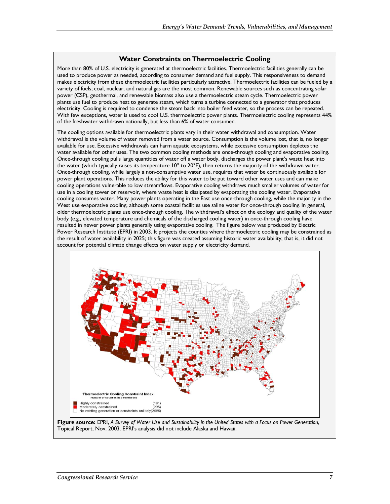#### **Water Constraints on Thermoelectric Cooling**

More than 80% of U.S. electricity is generated at thermoelectric facilities. Thermoelectric facilities generally can be used to produce power as needed, according to consumer demand and fuel supply. This responsiveness to demand makes electricity from these thermoelectric facilities particularly attractive. Thermoelectric facilities can be fueled by a variety of fuels; coal, nuclear, and natural gas are the most common. Renewable sources such as concentrating solar power (CSP), geothermal, and renewable biomass also use a thermoelectric steam cycle. Thermoelectric power plants use fuel to produce heat to generate steam, which turns a turbine connected to a generator that produces electricity. Cooling is required to condense the steam back into boiler feed water, so the process can be repeated. With few exceptions, water is used to cool U.S. thermoelectric power plants. Thermoelectric cooling represents 44% of the freshwater withdrawn nationally, but less than 6% of water consumed.

The cooling options available for thermoelectric plants vary in their water withdrawal and consumption. Water withdrawal is the volume of water removed from a water source. Consumption is the volume lost, that is, no longer available for use. Excessive withdrawals can harm aquatic ecosystems, while excessive consumption depletes the water available for other uses. The two common cooling methods are once-through cooling and evaporative cooling. Once-through cooling pulls large quantities of water off a water body, discharges the power plant's waste heat into the water (which typically raises its temperature  $10^{\circ}$  to 20°F), then returns the majority of the withdrawn water. Once-through cooling, while largely a non-consumptive water use, requires that water be continuously available for power plant operations. This reduces the ability for this water to be put toward other water uses and can make cooling operations vulnerable to low streamflows. Evaporative cooling withdraws much smaller volumes of water for use in a cooling tower or reservoir, where waste heat is dissipated by evaporating the cooling water. Evaporative cooling consumes water. Many power plants operating in the East use once-through cooling, while the majority in the West use evaporative cooling, although some coastal facilities use saline water for once-through cooling. In general, older thermoelectric plants use once-through cooling. The withdrawal's effect on the ecology and quality of the water body (e.g., elevated temperature and chemicals of the discharged cooling water) in once-through cooling have resulted in newer power plants generally using evaporative cooling. The figure below was produced by Electric Power Research Institute (EPRI) in 2003. It projects the counties where thermoelectric cooling may be constrained as the result of water availability in 2025; this figure was created assuming historic water availability; that is, it did not account for potential climate change effects on water supply or electricity demand.



**Figure source:** EPRI, *A Survey of Water Use and Sustainability in the United States with a Focus on Power Generation*, Topical Report, Nov. 2003. EPRI's analysis did not include Alaska and Hawaii.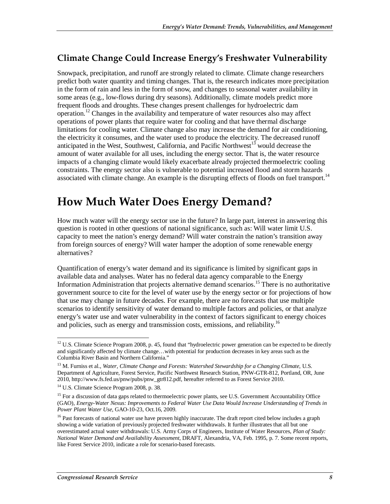## **Climate Change Could Increase Energy's Freshwater Vulnerability**

Snowpack, precipitation, and runoff are strongly related to climate. Climate change researchers predict both water quantity and timing changes. That is, the research indicates more precipitation in the form of rain and less in the form of snow, and changes to seasonal water availability in some areas (e.g., low-flows during dry seasons). Additionally, climate models predict more frequent floods and droughts. These changes present challenges for hydroelectric dam operation.<sup>12</sup> Changes in the availability and temperature of water resources also may affect operations of power plants that require water for cooling and that have thermal discharge limitations for cooling water. Climate change also may increase the demand for air conditioning, the electricity it consumes, and the water used to produce the electricity. The decreased runoff anticipated in the West, Southwest, California, and Pacific Northwest<sup>13</sup> would decrease the amount of water available for all uses, including the energy sector. That is, the water resource impacts of a changing climate would likely exacerbate already projected thermoelectric cooling constraints. The energy sector also is vulnerable to potential increased flood and storm hazards associated with climate change. An example is the disrupting effects of floods on fuel transport.<sup>14</sup>

# **How Much Water Does Energy Demand?**

How much water will the energy sector use in the future? In large part, interest in answering this question is rooted in other questions of national significance, such as: Will water limit U.S. capacity to meet the nation's energy demand? Will water constrain the nation's transition away from foreign sources of energy? Will water hamper the adoption of some renewable energy alternatives?

Quantification of energy's water demand and its significance is limited by significant gaps in available data and analyses. Water has no federal data agency comparable to the Energy Information Administration that projects alternative demand scenarios.<sup>15</sup> There is no authoritative government source to cite for the level of water use by the energy sector or for projections of how that use may change in future decades. For example, there are no forecasts that use multiple scenarios to identify sensitivity of water demand to multiple factors and policies, or that analyze energy's water use and water vulnerability in the context of factors significant to energy choices and policies, such as energy and transmission costs, emissions, and reliability.<sup>16</sup>

<sup>-</sup><sup>12</sup> U.S. Climate Science Program 2008, p. 45, found that "hydroelectric power generation can be expected to be directly and significantly affected by climate change…with potential for production decreases in key areas such as the Columbia River Basin and Northern California."

<sup>&</sup>lt;sup>13</sup> M. Furniss et al., *Water, Climate Change and Forests: Watershed Stewardship for a Changing Climate*, U.S. Department of Agriculture, Forest Service, Pacific Northwest Research Station, PNW-GTR-812, Portland, OR, June 2010, http://www.fs.fed.us/pnw/pubs/pnw\_gtr812.pdf, hereafter referred to as Forest Service 2010.

<sup>&</sup>lt;sup>14</sup> U.S. Climate Science Program 2008, p. 38.

<sup>&</sup>lt;sup>15</sup> For a discussion of data gaps related to thermoelectric power plants, see U.S. Government Accountability Office (GAO), *Energy-Water Nexus: Improvements to Federal Water Use Data Would Increase Understanding of Trends in Power Plant Water Use*, GAO-10-23, Oct.16, 2009.

<sup>&</sup>lt;sup>16</sup> Past forecasts of national water use have proven highly inaccurate. The draft report cited below includes a graph showing a wide variation of previously projected freshwater withdrawals. It further illustrates that all but one overestimated actual water withdrawals: U.S. Army Corps of Engineers, Institute of Water Resources, *Plan of Study: National Water Demand and Availability Assessment*, DRAFT, Alexandria, VA, Feb. 1995, p. 7. Some recent reports, like Forest Service 2010, indicate a role for scenario-based forecasts.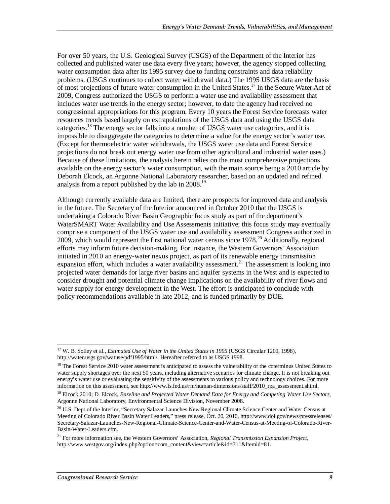For over 50 years, the U.S. Geological Survey (USGS) of the Department of the Interior has collected and published water use data every five years; however, the agency stopped collecting water consumption data after its 1995 survey due to funding constraints and data reliability problems. (USGS continues to collect water withdrawal data.) The 1995 USGS data are the basis of most projections of future water consumption in the United States.<sup>17</sup> In the Secure Water Act of 2009, Congress authorized the USGS to perform a water use and availability assessment that includes water use trends in the energy sector; however, to date the agency had received no congressional appropriations for this program. Every 10 years the Forest Service forecasts water resources trends based largely on extrapolations of the USGS data and using the USGS data categories.<sup>18</sup> The energy sector falls into a number of USGS water use categories, and it is impossible to disaggregate the categories to determine a value for the energy sector's water use. (Except for thermoelectric water withdrawals, the USGS water use data and Forest Service projections do not break out energy water use from other agricultural and industrial water uses.) Because of these limitations, the analysis herein relies on the most comprehensive projections available on the energy sector's water consumption, with the main source being a 2010 article by Deborah Elcock, an Argonne National Laboratory researcher, based on an updated and refined analysis from a report published by the lab in 2008.<sup>19</sup>

Although currently available data are limited, there are prospects for improved data and analysis in the future. The Secretary of the Interior announced in October 2010 that the USGS is undertaking a Colorado River Basin Geographic focus study as part of the department's WaterSMART Water Availability and Use Assessments initiative; this focus study may eventually comprise a component of the USGS water use and availability assessment Congress authorized in 2009, which would represent the first national water census since  $1978<sup>20</sup>$  Additionally, regional efforts may inform future decision-making. For instance, the Western Governors' Association initiated in 2010 an energy-water nexus project, as part of its renewable energy transmission expansion effort, which includes a water availability assessment.<sup>21</sup> The assessment is looking into projected water demands for large river basins and aquifer systems in the West and is expected to consider drought and potential climate change implications on the availability of river flows and water supply for energy development in the West. The effort is anticipated to conclude with policy recommendations available in late 2012, and is funded primarily by DOE.

<sup>&</sup>lt;u>.</u> <sup>17</sup> W. B. Solley et al., *Estimated Use of Water in the United States in 1995* (USGS Circular 1200, 1998), http://water.usgs.gov/watuse/pdf1995/html/. Hereafter referred to as USGS 1998.

<sup>&</sup>lt;sup>18</sup> The Forest Service 2010 water assessment is anticipated to assess the vulnerability of the coterminus United States to water supply shortages over the next 50 years, including alternative scenarios for climate change. It is not breaking out energy's water use or evaluating the sensitivity of the assessments to various policy and technology choices. For more information on this assessment, see http://www.fs.fed.us/rm/human-dimensions/staff/2010\_rpa\_assessment.shtml.

<sup>19</sup> Elcock 2010; D. Elcock, *Baseline and Projected Water Demand Data for Energy and Competing Water Use Sectors*, Argonne National Laboratory, Environmental Science Division, November 2008.

<sup>&</sup>lt;sup>20</sup> U.S. Dept of the Interior, "Secretary Salazar Launches New Regional Climate Science Center and Water Census at Meeting of Colorado River Basin Water Leaders," press release, Oct. 20, 2010, http://www.doi.gov/news/pressreleases/ Secretary-Salazar-Launches-New-Regional-Climate-Science-Center-and-Water-Census-at-Meeting-of-Colorado-River-Basin-Water-Leaders.cfm.

<sup>21</sup> For more information see, the Western Governors' Association, *Regional Transmission Expansion Project*, http://www.westgov.org/index.php?option=com\_content&view=article&id=311&Itemid=81.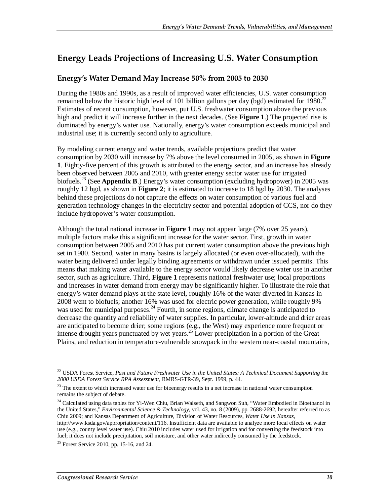## **Energy Leads Projections of Increasing U.S. Water Consumption**

### **Energy's Water Demand May Increase 50% from 2005 to 2030**

During the 1980s and 1990s, as a result of improved water efficiencies, U.S. water consumption remained below the historic high level of 101 billion gallons per day (bgd) estimated for 1980.<sup>22</sup> Estimates of recent consumption, however, put U.S. freshwater consumption above the previous high and predict it will increase further in the next decades. (See **Figure 1**.) The projected rise is dominated by energy's water use. Nationally, energy's water consumption exceeds municipal and industrial use; it is currently second only to agriculture.

By modeling current energy and water trends, available projections predict that water consumption by 2030 will increase by 7% above the level consumed in 2005, as shown in **Figure 1**. Eighty-five percent of this growth is attributed to the energy sector, and an increase has already been observed between 2005 and 2010, with greater energy sector water use for irrigated biofuels.23 (See **Appendix B**.) Energy's water consumption (excluding hydropower) in 2005 was roughly 12 bgd, as shown in **Figure 2**; it is estimated to increase to 18 bgd by 2030. The analyses behind these projections do not capture the effects on water consumption of various fuel and generation technology changes in the electricity sector and potential adoption of CCS, nor do they include hydropower's water consumption.

Although the total national increase in **Figure 1** may not appear large (7% over 25 years), multiple factors make this a significant increase for the water sector. First, growth in water consumption between 2005 and 2010 has put current water consumption above the previous high set in 1980. Second, water in many basins is largely allocated (or even over-allocated), with the water being delivered under legally binding agreements or withdrawn under issued permits. This means that making water available to the energy sector would likely decrease water use in another sector, such as agriculture. Third, **Figure 1** represents national freshwater use; local proportions and increases in water demand from energy may be significantly higher. To illustrate the role that energy's water demand plays at the state level, roughly 16% of the water diverted in Kansas in 2008 went to biofuels; another 16% was used for electric power generation, while roughly 9% was used for municipal purposes.<sup>24</sup> Fourth, in some regions, climate change is anticipated to decrease the quantity and reliability of water supplies. In particular, lower-altitude and drier areas are anticipated to become drier; some regions (e.g., the West) may experience more frequent or intense drought years punctuated by wet years.<sup>25</sup> Lower precipitation in a portion of the Great Plains, and reduction in temperature-vulnerable snowpack in the western near-coastal mountains,

<sup>24</sup> Calculated using data tables for Yi-Wen Chiu, Brian Walseth, and Sangwon Suh, "Water Embodied in Bioethanol in the United States," *Environmental Science & Technology,* vol. 43, no. 8 (2009), pp. 2688-2692, hereafter referred to as Chiu 2009; and Kansas Department of Agriculture, Division of Water Resources, *Water Use in Kansas*,

<sup>-</sup>22 USDA Forest Service, *Past and Future Freshwater Use in the United States: A Technical Document Supporting the 2000 USDA Forest Service RPA Assessment*, RMRS-GTR-39, Sept. 1999, p. 44.

<sup>&</sup>lt;sup>23</sup> The extent to which increased water use for bioenergy results in a net increase in national water consumption remains the subject of debate.

http://www.ksda.gov/appropriation/content/116. Insufficient data are available to analyze more local effects on water use (e.g., county level water use). Chiu 2010 includes water used for irrigation and for converting the feedstock into fuel; it does not include precipitation, soil moisture, and other water indirectly consumed by the feedstock.

 $25$  Forest Service 2010, pp. 15-16, and 24.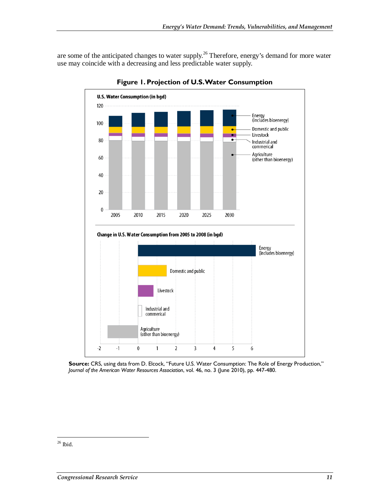are some of the anticipated changes to water supply.<sup>26</sup> Therefore, energy's demand for more water use may coincide with a decreasing and less predictable water supply.



**Figure 1. Projection of U.S. Water Consumption** 

**Source:** CRS, using data from D. Elcock, "Future U.S. Water Consumption: The Role of Energy Production," *Journal of the American Water Resources Association*, vol. 46, no. 3 (June 2010), pp. 447-480.

<sup>-</sup> $26$  Ibid.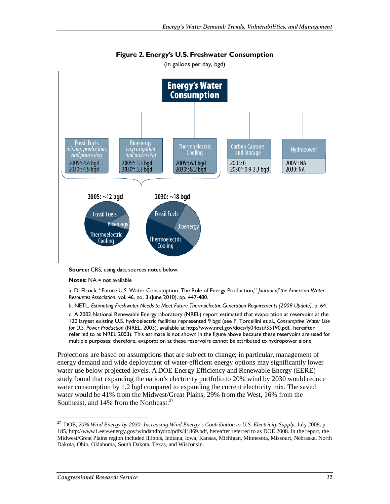

**Figure 2. Energy's U.S. Freshwater Consumption**  (in gallons per day, bgd)

**Source:** CRS, using data sources noted below.

**Notes:** NA = not available

a. D. Elcock, "Future U.S. Water Consumption: The Role of Energy Production," *Journal of the American Water Resources Association*, vol. 46, no. 3 (June 2010), pp. 447-480.

b. NETL, *Estimating Freshwater Needs to Meet Future Thermoelectric Generation Requirements (2009 Update)*, p. 64.

c. A 2003 National Renewable Energy laboratory (NREL) report estimated that evaporation at reservoirs at the 120 largest existing U.S. hydroelectric facilities represented 9 bgd (see P. Torcellini et al., *Consumptive Water Use for U.S. Power Production* (NREL, 2003), available at http://www.nrel.gov/docs/fy04osti/35190.pdf., hereafter referred to as NREL 2003). This estimate is not shown in the figure above because these reservoirs are used for multiple purposes; therefore, evaporation at these reservoirs cannot be attributed to hydropower alone.

Projections are based on assumptions that are subject to change; in particular, management of energy demand and wide deployment of water-efficient energy options may significantly lower water use below projected levels. A DOE Energy Efficiency and Renewable Energy (EERE) study found that expanding the nation's electricity portfolio to 20% wind by 2030 would reduce water consumption by 1.2 bgd compared to expanding the current electricity mix. The saved water would be 41% from the Midwest/Great Plains, 29% from the West, 16% from the Southeast, and 14% from the Northeast.<sup>27</sup>

-

<sup>27</sup> DOE, *20% Wind Energy by 2030: Increasing Wind Energy's Contribution to U.S. Electricity Supply*, July 2008, p. 185, http://www1.eere.energy.gov/windandhydro/pdfs/41869.pdf, hereafter referred to as DOE 2008. In the report, the Midwest/Great Plains region included Illinois, Indiana, Iowa, Kansas, Michigan, Minnesota, Missouri, Nebraska, North Dakota, Ohio, Oklahoma, South Dakota, Texas, and Wisconsin.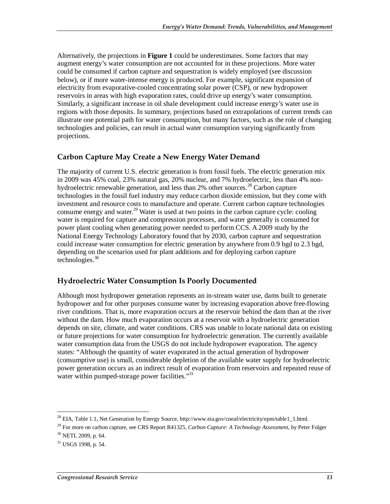Alternatively, the projections in **Figure 1** could be underestimates. Some factors that may augment energy's water consumption are not accounted for in these projections. More water could be consumed if carbon capture and sequestration is widely employed (see discussion below), or if more water-intense energy is produced. For example, significant expansion of electricity from evaporative-cooled concentrating solar power (CSP), or new hydropower reservoirs in areas with high evaporation rates, could drive up energy's water consumption. Similarly, a significant increase in oil shale development could increase energy's water use in regions with those deposits. In summary, projections based on extrapolations of current trends can illustrate one potential path for water consumption, but many factors, such as the role of changing technologies and policies, can result in actual water consumption varying significantly from projections.

### **Carbon Capture May Create a New Energy Water Demand**

The majority of current U.S. electric generation is from fossil fuels. The electric generation mix in 2009 was 45% coal, 23% natural gas, 20% nuclear, and 7% hydroelectric, less than 4% nonhydroelectric renewable generation, and less than 2% other sources.<sup>28</sup> Carbon capture technologies in the fossil fuel industry may reduce carbon dioxide emission, but they come with investment and resource costs to manufacture and operate. Current carbon capture technologies consume energy and water.<sup>29</sup> Water is used at two points in the carbon capture cycle: cooling water is required for capture and compression processes, and water generally is consumed for power plant cooling when generating power needed to perform CCS. A 2009 study by the National Energy Technology Laboratory found that by 2030, carbon capture and sequestration could increase water consumption for electric generation by anywhere from 0.9 bgd to 2.3 bgd, depending on the scenarios used for plant additions and for deploying carbon capture technologies.<sup>30</sup>

### **Hydroelectric Water Consumption Is Poorly Documented**

Although most hydropower generation represents an in-stream water use, dams built to generate hydropower and for other purposes consume water by increasing evaporation above free-flowing river conditions. That is, more evaporation occurs at the reservoir behind the dam than at the river without the dam. How much evaporation occurs at a reservoir with a hydroelectric generation depends on site, climate, and water conditions. CRS was unable to locate national data on existing or future projections for water consumption for hydroelectric generation. The currently available water consumption data from the USGS do not include hydropower evaporation. The agency states: "Although the quantity of water evaporated in the actual generation of hydropower (consumptive use) is small, considerable depletion of the available water supply for hydroelectric power generation occurs as an indirect result of evaporation from reservoirs and repeated reuse of water within pumped-storage power facilities. $\cdot^{31}$ 

-

<sup>&</sup>lt;sup>28</sup> EIA, Table 1.1, Net Generation by Energy Source, http://www.eia.gov/cneaf/electricity/epm/table1\_1.html.

<sup>29</sup> For more on carbon capture, see CRS Report R41325, *Carbon Capture: A Technology Assessment*, by Peter Folger 30 NETL 2009, p. 64.

<sup>31</sup> USGS 1998, p. 54.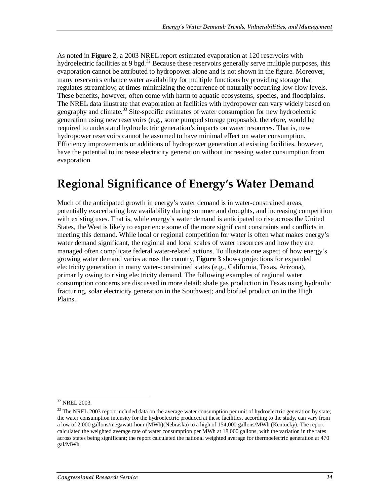As noted in **Figure 2**, a 2003 NREL report estimated evaporation at 120 reservoirs with hydroelectric facilities at 9 bgd.<sup>32</sup> Because these reservoirs generally serve multiple purposes, this evaporation cannot be attributed to hydropower alone and is not shown in the figure. Moreover, many reservoirs enhance water availability for multiple functions by providing storage that regulates streamflow, at times minimizing the occurrence of naturally occurring low-flow levels. These benefits, however, often come with harm to aquatic ecosystems, species, and floodplains. The NREL data illustrate that evaporation at facilities with hydropower can vary widely based on geography and climate.<sup>33</sup> Site-specific estimates of water consumption for new hydroelectric generation using new reservoirs (e.g., some pumped storage proposals), therefore, would be required to understand hydroelectric generation's impacts on water resources. That is, new hydropower reservoirs cannot be assumed to have minimal effect on water consumption. Efficiency improvements or additions of hydropower generation at existing facilities, however, have the potential to increase electricity generation without increasing water consumption from evaporation.

# **Regional Significance of Energy's Water Demand**

Much of the anticipated growth in energy's water demand is in water-constrained areas, potentially exacerbating low availability during summer and droughts, and increasing competition with existing uses. That is, while energy's water demand is anticipated to rise across the United States, the West is likely to experience some of the more significant constraints and conflicts in meeting this demand. While local or regional competition for water is often what makes energy's water demand significant, the regional and local scales of water resources and how they are managed often complicate federal water-related actions. To illustrate one aspect of how energy's growing water demand varies across the country, **Figure 3** shows projections for expanded electricity generation in many water-constrained states (e.g., California, Texas, Arizona), primarily owing to rising electricity demand. The following examples of regional water consumption concerns are discussed in more detail: shale gas production in Texas using hydraulic fracturing, solar electricity generation in the Southwest; and biofuel production in the High Plains.

<u>.</u>

<sup>32</sup> NREL 2003.

<sup>&</sup>lt;sup>33</sup> The NREL 2003 report included data on the average water consumption per unit of hydroelectric generation by state; the water consumption intensity for the hydroelectric produced at these facilities, according to the study, can vary from a low of 2,000 gallons/megawatt-hour (MWh)(Nebraska) to a high of 154,000 gallons/MWh (Kentucky). The report calculated the weighted average rate of water consumption per MWh at 18,000 gallons, with the variation in the rates across states being significant; the report calculated the national weighted average for thermoelectric generation at 470 gal/MWh.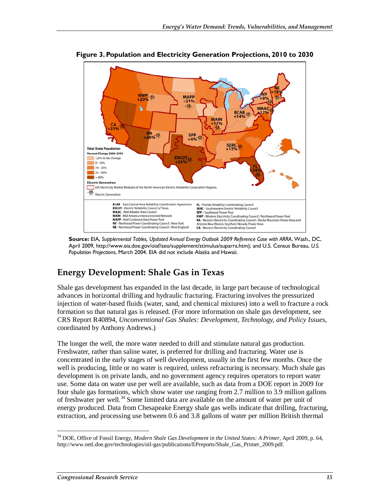

**Figure 3. Population and Electricity Generation Projections, 2010 to 2030** 

**Source:** EIA, *Supplemental Tables, Updated Annual Energy Outlook 2009 Reference Case with ARRA*, Wash., DC, April 2009, http://www.eia.doe.gov/oiaf/aeo/supplement/stimulus/suparra.htm); and U.S. Census Bureau, *U.S. Population Projections*, March 2004. EIA did not include Alaska and Hawaii.

### **Energy Development: Shale Gas in Texas**

Shale gas development has expanded in the last decade, in large part because of technological advances in horizontal drilling and hydraulic fracturing. Fracturing involves the pressurized injection of water-based fluids (water, sand, and chemical mixtures) into a well to fracture a rock formation so that natural gas is released. (For more information on shale gas development, see CRS Report R40894, *Unconventional Gas Shales: Development, Technology, and Policy Issues*, coordinated by Anthony Andrews.)

The longer the well, the more water needed to drill and stimulate natural gas production. Freshwater, rather than saline water, is preferred for drilling and fracturing. Water use is concentrated in the early stages of well development, usually in the first few months. Once the well is producing, little or no water is required, unless refracturing is necessary. Much shale gas development is on private lands, and no government agency requires operators to report water use. Some data on water use per well are available, such as data from a DOE report in 2009 for four shale gas formations, which show water use ranging from 2.7 million to 3.9 million gallons of freshwater per well.<sup>34</sup> Some limited data are available on the amount of water per unit of energy produced. Data from Chesapeake Energy shale gas wells indicate that drilling, fracturing, extraction, and processing use between 0.6 and 3.8 gallons of water per million British thermal

-

<sup>34</sup> DOE, Office of Fossil Energy, *Modern Shale Gas Development in the United States: A Primer*, April 2009, p. 64, http://www.netl.doe.gov/technologies/oil-gas/publications/EPreports/Shale\_Gas\_Primer\_2009.pdf.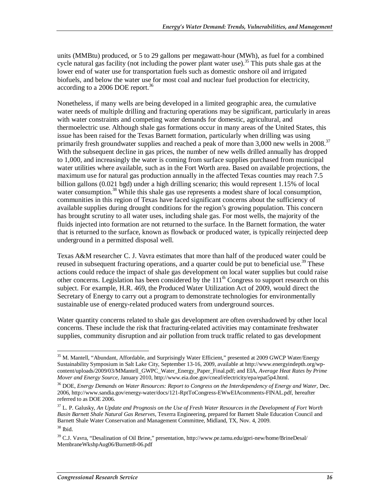units (MMBtu) produced, or 5 to 29 gallons per megawatt-hour (MWh), as fuel for a combined cycle natural gas facility (not including the power plant water use).<sup>35</sup> This puts shale gas at the lower end of water use for transportation fuels such as domestic onshore oil and irrigated biofuels, and below the water use for most coal and nuclear fuel production for electricity, according to a 2006 DOE report.<sup>36</sup>

Nonetheless, if many wells are being developed in a limited geographic area, the cumulative water needs of multiple drilling and fracturing operations may be significant, particularly in areas with water constraints and competing water demands for domestic, agricultural, and thermoelectric use. Although shale gas formations occur in many areas of the United States, this issue has been raised for the Texas Barnett formation, particularly when drilling was using primarily fresh groundwater supplies and reached a peak of more than 3,000 new wells in 2008.<sup>37</sup> With the subsequent decline in gas prices, the number of new wells drilled annually has dropped to 1,000, and increasingly the water is coming from surface supplies purchased from municipal water utilities where available, such as in the Fort Worth area. Based on available projections, the maximum use for natural gas production annually in the affected Texas counties may reach 7.5 billion gallons (0.021 bgd) under a high drilling scenario; this would represent 1.15% of local water consumption.<sup>38</sup> While this shale gas use represents a modest share of local consumption, communities in this region of Texas have faced significant concerns about the sufficiency of available supplies during drought conditions for the region's growing population. This concern has brought scrutiny to all water uses, including shale gas. For most wells, the majority of the fluids injected into formation are not returned to the surface. In the Barnett formation, the water that is returned to the surface, known as flowback or produced water, is typically reinjected deep underground in a permitted disposal well.

Texas A&M researcher C. J. Vavra estimates that more than half of the produced water could be reused in subsequent fracturing operations, and a quarter could be put to beneficial use.<sup>39</sup> These actions could reduce the impact of shale gas development on local water supplies but could raise other concerns. Legislation has been considered by the  $111<sup>th</sup>$  Congress to support research on this subject. For example, H.R. 469, the Produced Water Utilization Act of 2009, would direct the Secretary of Energy to carry out a program to demonstrate technologies for environmentally sustainable use of energy-related produced waters from underground sources.

Water quantity concerns related to shale gas development are often overshadowed by other local concerns. These include the risk that fracturing-related activities may contaminate freshwater supplies, community disruption and air pollution from truck traffic related to gas development

<sup>-</sup><sup>35</sup> M. Mantell, "Abundant, Affordable, and Surprisingly Water Efficient," presented at 2009 GWCP Water/Energy Sustainability Symposium in Salt Lake City, September 13-16, 2009, available at http://www.energyindepth.org/wpcontent/uploads/2009/03/MMantell\_GWPC\_Water\_Energy\_Paper\_Final.pdf; and EIA, *Average Heat Rates by Prime Mover and Energy Source*, January 2010, http://www.eia.doe.gov/cneaf/electricity/epa/epat5p4.html.

<sup>36</sup> DOE, *Energy Demands on Water Resources: Report to Congress on the Interdependency of Energy and Water*, Dec. 2006, http://www.sandia.gov/energy-water/docs/121-RptToCongress-EWwEIAcomments-FINAL.pdf, hereafter referred to as DOE 2006.

<sup>37</sup> L. P. Galusky, *An Update and Prognosis on the Use of Fresh Water Resources in the Development of Fort Worth Basin Barnett Shale Natural Gas Reserves*, Texerra Engineering, prepared for Barnett Shale Education Council and Barnett Shale Water Conservation and Management Committee, Midland, TX, Nov. 4, 2009.

 $38$  Ibid.

<sup>&</sup>lt;sup>39</sup> C.J. Vavra, "Desalination of Oil Brine," presentation, http://www.pe.tamu.edu/gpri-new/home/BrineDesal/ MembraneWkshpAug06/Burnett8-06.pdf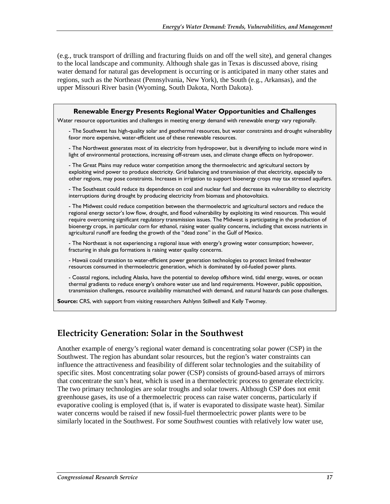(e.g., truck transport of drilling and fracturing fluids on and off the well site), and general changes to the local landscape and community. Although shale gas in Texas is discussed above, rising water demand for natural gas development is occurring or is anticipated in many other states and regions, such as the Northeast (Pennsylvania, New York), the South (e.g., Arkansas), and the upper Missouri River basin (Wyoming, South Dakota, North Dakota).

| Renewable Energy Presents Regional Water Opportunities and Challenges                                                                                                                                                                                                                                                                                                                                                                                                                                                                                            |
|------------------------------------------------------------------------------------------------------------------------------------------------------------------------------------------------------------------------------------------------------------------------------------------------------------------------------------------------------------------------------------------------------------------------------------------------------------------------------------------------------------------------------------------------------------------|
| Water resource opportunities and challenges in meeting energy demand with renewable energy vary regionally.                                                                                                                                                                                                                                                                                                                                                                                                                                                      |
| - The Southwest has high-quality solar and geothermal resources, but water constraints and drought vulnerability<br>favor more expensive, water-efficient use of these renewable resources.                                                                                                                                                                                                                                                                                                                                                                      |
| - The Northwest generates most of its electricity from hydropower, but is diversifying to include more wind in<br>light of environmental protections, increasing off-stream uses, and climate change effects on hydropower.                                                                                                                                                                                                                                                                                                                                      |
| - The Great Plains may reduce water competition among the thermoelectric and agricultural sectors by<br>exploiting wind power to produce electricity. Grid balancing and transmission of that electricity, especially to<br>other regions, may pose constraints. Increases in irrigation to support bioenergy crops may tax stressed aquifers.                                                                                                                                                                                                                   |
| - The Southeast could reduce its dependence on coal and nuclear fuel and decrease its vulnerability to electricity<br>interruptions during drought by producing electricity from biomass and photovoltaics.                                                                                                                                                                                                                                                                                                                                                      |
| - The Midwest could reduce competition between the thermoelectric and agricultural sectors and reduce the<br>regional energy sector's low flow, drought, and flood vulnerability by exploiting its wind resources. This would<br>require overcoming significant regulatory transmission issues. The Midwest is participating in the production of<br>bioenergy crops, in particular corn for ethanol, raising water quality concerns, including that excess nutrients in<br>agricultural runoff are feeding the growth of the "dead zone" in the Gulf of Mexico. |
| - The Northeast is not experiencing a regional issue with energy's growing water consumption; however,<br>fracturing in shale gas formations is raising water quality concerns.                                                                                                                                                                                                                                                                                                                                                                                  |
| - Hawaii could transition to water-efficient power generation technologies to protect limited freshwater<br>resources consumed in thermoelectric generation, which is dominated by oil-fueled power plants.                                                                                                                                                                                                                                                                                                                                                      |
| - Coastal regions, including Alaska, have the potential to develop offshore wind, tidal energy, waves, or ocean<br>thermal gradients to reduce energy's onshore water use and land requirements. However, public opposition,<br>transmission challenges, resource availability mismatched with demand, and natural hazards can pose challenges.                                                                                                                                                                                                                  |
| Source: CRS, with support from visiting researchers Ashlynn Stillwell and Kelly Twomey.                                                                                                                                                                                                                                                                                                                                                                                                                                                                          |

### **Electricity Generation: Solar in the Southwest**

Another example of energy's regional water demand is concentrating solar power (CSP) in the Southwest. The region has abundant solar resources, but the region's water constraints can influence the attractiveness and feasibility of different solar technologies and the suitability of specific sites. Most concentrating solar power (CSP) consists of ground-based arrays of mirrors that concentrate the sun's heat, which is used in a thermoelectric process to generate electricity. The two primary technologies are solar troughs and solar towers. Although CSP does not emit greenhouse gases, its use of a thermoelectric process can raise water concerns, particularly if evaporative cooling is employed (that is, if water is evaporated to dissipate waste heat). Similar water concerns would be raised if new fossil-fuel thermoelectric power plants were to be similarly located in the Southwest. For some Southwest counties with relatively low water use,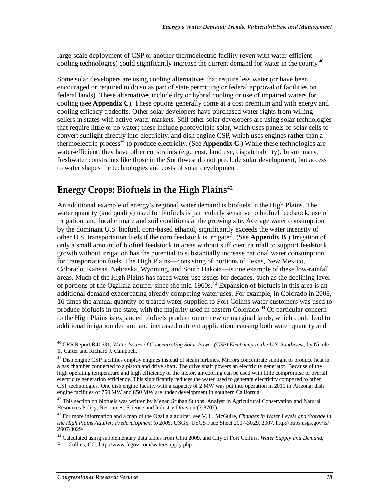large-scale deployment of CSP or another thermoelectric facility (even with water-efficient cooling technologies) could significantly increase the current demand for water in the county.<sup>40</sup>

Some solar developers are using cooling alternatives that require less water (or have been encouraged or required to do so as part of state permitting or federal approval of facilities on federal lands). These alternatives include dry or hybrid cooling or use of impaired waters for cooling (see **Appendix C**). These options generally come at a cost premium and with energy and cooling efficacy tradeoffs. Other solar developers have purchased water rights from willing sellers in states with active water markets. Still other solar developers are using solar technologies that require little or no water; these include photovoltaic solar, which uses panels of solar cells to convert sunlight directly into electricity, and dish engine CSP, which uses engines rather than a thermoelectric process<sup>41</sup> to produce electricity. (See **Appendix C**.) While these technologies are water-efficient, they have other constraints (e.g., cost, land use, dispatchability). In summary, freshwater constraints like those in the Southwest do not preclude solar development, but access to water shapes the technologies and costs of solar development.

## **Energy Crops: Biofuels in the High Plains42**

An additional example of energy's regional water demand is biofuels in the High Plains. The water quantity (and quality) used for biofuels is particularly sensitive to biofuel feedstock, use of irrigation, and local climate and soil conditions at the growing site. Average water consumption by the dominant U.S. biofuel, corn-based ethanol, significantly exceeds the water intensity of other U.S. transportation fuels if the corn feedstock is irrigated. (See **Appendix B**.) Irrigation of only a small amount of biofuel feedstock in areas without sufficient rainfall to support feedstock growth without irrigation has the potential to substantially increase national water consumption for transportation fuels. The High Plains—consisting of portions of Texas, New Mexico, Colorado, Kansas, Nebraska, Wyoming, and South Dakota—is one example of these low-rainfall areas. Much of the High Plains has faced water use issues for decades, such as the declining level of portions of the Ogallala aquifer since the mid-1960s.<sup>43</sup> Expansion of biofuels in this area is an additional demand exacerbating already competing water uses. For example, in Colorado in 2008, 16 times the annual quantity of treated water supplied to Fort Collins water customers was used to produce biofuels in the state, with the majority used in eastern Colorado.<sup>44</sup> Of particular concern to the High Plains is expanded biofuels production on new or marginal lands, which could lead to additional irrigation demand and increased nutrient application, causing both water quantity and

<sup>-</sup>40 CRS Report R40631, *Water Issues of Concentrating Solar Power (CSP) Electricity in the U.S. Southwest*, by Nicole T. Carter and Richard J. Campbell.

<sup>&</sup>lt;sup>41</sup> Dish engine CSP facilities employ engines instead of steam turbines. Mirrors concentrate sunlight to produce heat in a gas chamber connected to a piston and drive shaft. The drive shaft powers an electricity generator. Because of the high operating temperature and high efficiency of the motor, air cooling can be used with little compromise of overall electricity generation efficiency. This significantly reduces the water used to generate electricity compared to other CSP technologies. One dish engine facility with a capacity of 2 MW was put into operation in 2010 in Arizona; dish engine facilities of 750 MW and 850 MW are under development in southern California.

 $42$  This section on biofuels was written by Megan Stuban Stubbs, Analyst in Agricultural Conservation and Natural Resources Policy, Resources, Science and Industry Division (7-8707).

<sup>43</sup> For more information and a map of the Ogallala aquifer, see V. L. McGuire, *Changes in Water Levels and Storage in the High Plains Aquifer, Predevelopment to 2005*, USGS, USGS Face Sheet 2007-3029, 2007, http://pubs.usgs.gov/fs/ 2007/3029/.

<sup>44</sup> Calculated using supplementary data tables from Chiu 2009, and City of Fort Collins, *Water Supply and Demand*, Fort Collins, CO, http://www.fcgov.com/water/supply.php.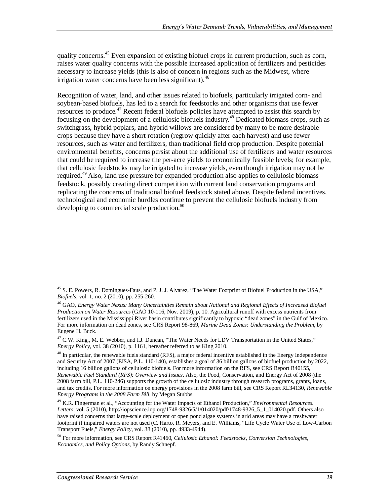quality concerns.<sup>45</sup> Even expansion of existing biofuel crops in current production, such as corn, raises water quality concerns with the possible increased application of fertilizers and pesticides necessary to increase yields (this is also of concern in regions such as the Midwest, where irrigation water concerns have been less significant).  $46$ 

Recognition of water, land, and other issues related to biofuels, particularly irrigated corn- and soybean-based biofuels, has led to a search for feedstocks and other organisms that use fewer resources to produce.<sup>47</sup> Recent federal biofuels policies have attempted to assist this search by focusing on the development of a cellulosic biofuels industry.48 Dedicated biomass crops, such as switchgrass, hybrid poplars, and hybrid willows are considered by many to be more desirable crops because they have a short rotation (regrow quickly after each harvest) and use fewer resources, such as water and fertilizers, than traditional field crop production. Despite potential environmental benefits, concerns persist about the additional use of fertilizers and water resources that could be required to increase the per-acre yields to economically feasible levels; for example, that cellulosic feedstocks may be irrigated to increase yields, even though irrigation may not be required.49 Also, land use pressure for expanded production also applies to cellulosic biomass feedstock, possibly creating direct competition with current land conservation programs and replicating the concerns of traditional biofuel feedstock stated above. Despite federal incentives, technological and economic hurdles continue to prevent the cellulosic biofuels industry from developing to commercial scale production.<sup>50</sup>

<sup>-</sup><sup>45</sup> S. E. Powers, R. Domingues-Faus, and P. J. J. Alvarez, "The Water Footprint of Biofuel Production in the USA," *Biofuels*, vol. 1, no. 2 (2010), pp. 255-260.

<sup>46</sup> GAO, *Energy Water Nexus: Many Uncertainties Remain about National and Regional Effects of Increased Biofuel Production on Water Resources* (GAO 10-116, Nov. 2009), p. 10. Agricultural runoff with excess nutrients from fertilizers used in the Mississippi River basin contributes significantly to hypoxic "dead zones" in the Gulf of Mexico. For more information on dead zones, see CRS Report 98-869, *Marine Dead Zones: Understanding the Problem*, by Eugene H. Buck.

<sup>&</sup>lt;sup>47</sup> C.W. King,, M. E. Webber, and I.J. Duncan, "The Water Needs for LDV Transportation in the United States," *Energy Policy*, vol. 38 (2010), p. 1161, hereafter referred to as King 2010.

<sup>&</sup>lt;sup>48</sup> In particular, the renewable fuels standard (RFS), a major federal incentive established in the Energy Independence and Security Act of 2007 (EISA, P.L. 110-140), establishes a goal of 36 billion gallons of biofuel production by 2022, including 16 billion gallons of cellulosic biofuels. For more information on the RFS, see CRS Report R40155, *Renewable Fuel Standard (RFS): Overview and Issues*. Also, the Food, Conservation, and Energy Act of 2008 (the 2008 farm bill, P.L. 110-246) supports the growth of the cellulosic industry through research programs, grants, loans, and tax credits. For more information on energy provisions in the 2008 farm bill, see CRS Report RL34130, *Renewable Energy Programs in the 2008 Farm Bill*, by Megan Stubbs.

<sup>49</sup> K.R. Fingerman et al., "Accounting for the Water Impacts of Ethanol Production," *Environmental Resources. Letters*, vol. 5 (2010), http://iopscience.iop.org/1748-9326/5/1/014020/pdf/1748-9326\_5\_1\_014020.pdf. Others also have raised concerns that large-scale deployment of open pond algae systems in arid areas may have a freshwater footprint if impaired waters are not used (C. Harto, R. Meyers, and E. Williams, "Life Cycle Water Use of Low-Carbon Transport Fuels," *Energy Policy*, vol. 38 (2010), pp. 4933-4944).

<sup>50</sup> For more information, see CRS Report R41460, *Cellulosic Ethanol: Feedstocks, Conversion Technologies, Economics, and Policy Options*, by Randy Schnepf.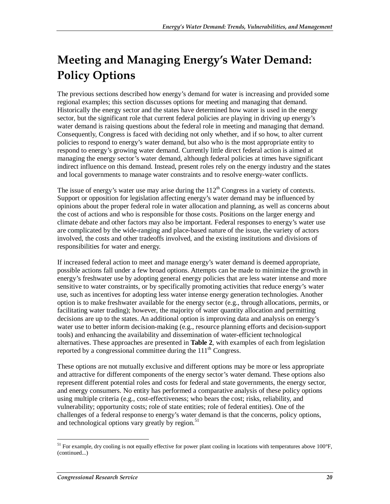# **Meeting and Managing Energy's Water Demand: Policy Options**

The previous sections described how energy's demand for water is increasing and provided some regional examples; this section discusses options for meeting and managing that demand. Historically the energy sector and the states have determined how water is used in the energy sector, but the significant role that current federal policies are playing in driving up energy's water demand is raising questions about the federal role in meeting and managing that demand. Consequently, Congress is faced with deciding not only whether, and if so how, to alter current policies to respond to energy's water demand, but also who is the most appropriate entity to respond to energy's growing water demand. Currently little direct federal action is aimed at managing the energy sector's water demand, although federal policies at times have significant indirect influence on this demand. Instead, present roles rely on the energy industry and the states and local governments to manage water constraints and to resolve energy-water conflicts.

The issue of energy's water use may arise during the  $112<sup>th</sup>$  Congress in a variety of contexts. Support or opposition for legislation affecting energy's water demand may be influenced by opinions about the proper federal role in water allocation and planning, as well as concerns about the cost of actions and who is responsible for those costs. Positions on the larger energy and climate debate and other factors may also be important. Federal responses to energy's water use are complicated by the wide-ranging and place-based nature of the issue, the variety of actors involved, the costs and other tradeoffs involved, and the existing institutions and divisions of responsibilities for water and energy.

If increased federal action to meet and manage energy's water demand is deemed appropriate, possible actions fall under a few broad options. Attempts can be made to minimize the growth in energy's freshwater use by adopting general energy policies that are less water intense and more sensitive to water constraints, or by specifically promoting activities that reduce energy's water use, such as incentives for adopting less water intense energy generation technologies. Another option is to make freshwater available for the energy sector (e.g., through allocations, permits, or facilitating water trading); however, the majority of water quantity allocation and permitting decisions are up to the states. An additional option is improving data and analysis on energy's water use to better inform decision-making (e.g., resource planning efforts and decision-support tools) and enhancing the availability and dissemination of water-efficient technological alternatives. These approaches are presented in **Table 2**, with examples of each from legislation reported by a congressional committee during the  $111<sup>th</sup>$  Congress.

These options are not mutually exclusive and different options may be more or less appropriate and attractive for different components of the energy sector's water demand. These options also represent different potential roles and costs for federal and state governments, the energy sector, and energy consumers. No entity has performed a comparative analysis of these policy options using multiple criteria (e.g., cost-effectiveness; who bears the cost; risks, reliability, and vulnerability; opportunity costs; role of state entities; role of federal entities). One of the challenges of a federal response to energy's water demand is that the concerns, policy options, and technological options vary greatly by region.<sup>51</sup>

<sup>-</sup> $<sup>51</sup>$  For example, dry cooling is not equally effective for power plant cooling in locations with temperatures above 100°F,</sup> (continued...)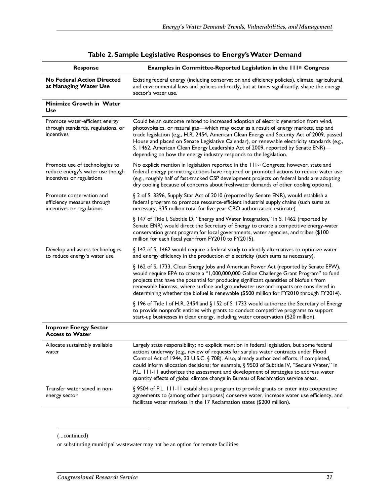| <b>Response</b>                                                                                 | Examples in Committee-Reported Legislation in the 111th Congress                                                                                                                                                                                                                                                                                                                                                                                                                                                                                     |
|-------------------------------------------------------------------------------------------------|------------------------------------------------------------------------------------------------------------------------------------------------------------------------------------------------------------------------------------------------------------------------------------------------------------------------------------------------------------------------------------------------------------------------------------------------------------------------------------------------------------------------------------------------------|
| <b>No Federal Action Directed</b><br>at Managing Water Use                                      | Existing federal energy (including conservation and efficiency policies), climate, agricultural,<br>and environmental laws and policies indirectly, but at times significantly, shape the energy<br>sector's water use.                                                                                                                                                                                                                                                                                                                              |
| <b>Minimize Growth in Water</b><br>Use                                                          |                                                                                                                                                                                                                                                                                                                                                                                                                                                                                                                                                      |
| Promote water-efficient energy<br>through standards, regulations, or<br>incentives              | Could be an outcome related to increased adoption of electric generation from wind,<br>photovoltaics, or natural gas-which may occur as a result of energy markets, cap and<br>trade legislation (e.g., H.R. 2454, American Clean Energy and Security Act of 2009, passed<br>House and placed on Senate Legislative Calendar), or renewable electricity standards (e.g.,<br>S. 1462, American Clean Energy Leadership Act of 2009, reported by Senate ENR)-<br>depending on how the energy industry responds to the legislation.                     |
| Promote use of technologies to<br>reduce energy's water use though<br>incentives or regulations | No explicit mention in legislation reported in the 111 <sup>th</sup> Congress; however, state and<br>federal energy permitting actions have required or promoted actions to reduce water use<br>(e.g., roughly half of fast-tracked CSP development projects on federal lands are adopting<br>dry cooling because of concerns about freshwater demands of other cooling options).                                                                                                                                                                    |
| Promote conservation and<br>efficiency measures through<br>incentives or regulations            | § 2 of S. 3396, Supply Star Act of 2010 (reported by Senate ENR), would establish a<br>federal program to promote resource-efficient industrial supply chains (such sums as<br>necessary, \$35 million total for five-year CBO authorization estimate).                                                                                                                                                                                                                                                                                              |
|                                                                                                 | § 147 of Title I, Subtitle D, "Energy and Water Integration," in S. 1462 (reported by<br>Senate ENR) would direct the Secretary of Energy to create a competitive energy-water<br>conservation grant program for local governments, water agencies, and tribes (\$100<br>million for each fiscal year from FY2010 to FY2015).                                                                                                                                                                                                                        |
| Develop and assess technologies<br>to reduce energy's water use                                 | § 142 of S. 1462 would require a federal study to identify alternatives to optimize water<br>and energy efficiency in the production of electricity (such sums as necessary).                                                                                                                                                                                                                                                                                                                                                                        |
|                                                                                                 | § 162 of S. 1733, Clean Energy Jobs and American Power Act (reported by Senate EPW),<br>would require EPA to create a "1,000,000,000 Gallon Challenge Grant Program" to fund<br>projects that have the potential for producing significant quantities of biofuels from<br>renewable biomass, where surface and groundwater use and impacts are considered in<br>determining whether the biofuel is renewable (\$500 million for FY2010 through FY2014).                                                                                              |
|                                                                                                 | § 196 of Title I of H.R. 2454 and § 152 of S. 1733 would authorize the Secretary of Energy<br>to provide nonprofit entities with grants to conduct competitive programs to support<br>start-up businesses in clean energy, including water conservation (\$20 million).                                                                                                                                                                                                                                                                              |
| <b>Improve Energy Sector</b><br><b>Access to Water</b>                                          |                                                                                                                                                                                                                                                                                                                                                                                                                                                                                                                                                      |
| Allocate sustainably available<br>water                                                         | Largely state responsibility; no explicit mention in federal legislation, but some federal<br>actions underway (e.g., review of requests for surplus water contracts under Flood<br>Control Act of 1944, 33 U.S.C. § 708). Also, already authorized efforts, if completed,<br>could inform allocation decisions; for example, § 9503 of Subtitle IV, "Secure Water," in<br>P.L. 111-11 authorizes the assessment and development of strategies to address water<br>quantity effects of global climate change in Bureau of Reclamation service areas. |
| Transfer water saved in non-<br>energy sector                                                   | § 9504 of P.L. 111-11 establishes a program to provide grants or enter into cooperative<br>agreements to (among other purposes) conserve water, increase water use efficiency, and<br>facilitate water markets in the 17 Reclamation states (\$200 million).                                                                                                                                                                                                                                                                                         |

| Table 2. Sample Legislative Responses to Energy's Water Demand |  |  |  |
|----------------------------------------------------------------|--|--|--|
|----------------------------------------------------------------|--|--|--|

1

<sup>(...</sup>continued)

or substituting municipal wastewater may not be an option for remote facilities.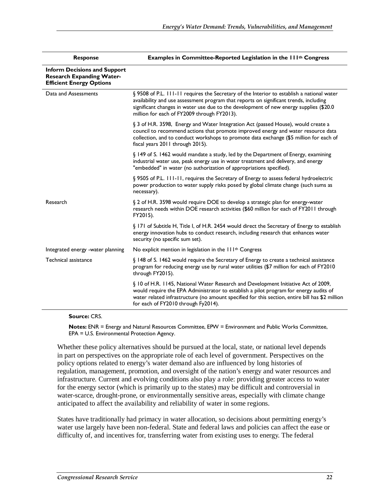| <b>Response</b>                                                                                            | Examples in Committee-Reported Legislation in the 111 <sup>th</sup> Congress                                                                                                                                                                                                                                                  |
|------------------------------------------------------------------------------------------------------------|-------------------------------------------------------------------------------------------------------------------------------------------------------------------------------------------------------------------------------------------------------------------------------------------------------------------------------|
| <b>Inform Decisions and Support</b><br><b>Research Expanding Water-</b><br><b>Efficient Energy Options</b> |                                                                                                                                                                                                                                                                                                                               |
| Data and Assessments                                                                                       | § 9508 of P.L. 111-11 requires the Secretary of the Interior to establish a national water<br>availability and use assessment program that reports on significant trends, including<br>significant changes in water use due to the development of new energy supplies (\$20.0)<br>million for each of FY2009 through FY2013). |
|                                                                                                            | § 3 of H.R. 3598, Energy and Water Integration Act (passed House), would create a<br>council to recommend actions that promote improved energy and water resource data<br>collection, and to conduct workshops to promote data exchange (\$5 million for each of<br>fiscal years 2011 through 2015).                          |
|                                                                                                            | § 149 of S. 1462 would mandate a study, led by the Department of Energy, examining<br>industrial water use, peak energy use in water treatment and delivery, and energy<br>"embedded" in water (no authorization of appropriations specified).                                                                                |
|                                                                                                            | § 9505 of P.L. 111-11, requires the Secretary of Energy to assess federal hydroelectric<br>power production to water supply risks posed by global climate change (such sums as<br>necessary).                                                                                                                                 |
| Research                                                                                                   | § 2 of H.R. 3598 would require DOE to develop a strategic plan for energy-water<br>research needs within DOE research activities (\$60 million for each of FY2011 through<br>FY2015).                                                                                                                                         |
|                                                                                                            | § 171 of Subtitle H, Title I, of H.R. 2454 would direct the Secretary of Energy to establish<br>energy innovation hubs to conduct research, including research that enhances water<br>security (no specific sum set).                                                                                                         |
| Integrated energy -water planning                                                                          | No explicit mention in legislation in the 111 <sup>th</sup> Congress                                                                                                                                                                                                                                                          |
| Technical assistance                                                                                       | § 148 of S. 1462 would require the Secretary of Energy to create a technical assistance<br>program for reducing energy use by rural water utilities (\$7 million for each of FY2010<br>through FY2015).                                                                                                                       |
|                                                                                                            | § 10 of H.R. 1145, National Water Research and Development Initiative Act of 2009,<br>would require the EPA Administrator to establish a pilot program for energy audits of<br>water related infrastructure (no amount specified for this section, entire bill has \$2 million<br>for each of FY2010 through Fy2014).         |

**Source:** CRS.

**Notes:** ENR = Energy and Natural Resources Committee, EPW = Environment and Public Works Committee, EPA = U.S. Environmental Protection Agency.

Whether these policy alternatives should be pursued at the local, state, or national level depends in part on perspectives on the appropriate role of each level of government. Perspectives on the policy options related to energy's water demand also are influenced by long histories of regulation, management, promotion, and oversight of the nation's energy and water resources and infrastructure. Current and evolving conditions also play a role: providing greater access to water for the energy sector (which is primarily up to the states) may be difficult and controversial in water-scarce, drought-prone, or environmentally sensitive areas, especially with climate change anticipated to affect the availability and reliability of water in some regions.

States have traditionally had primacy in water allocation, so decisions about permitting energy's water use largely have been non-federal. State and federal laws and policies can affect the ease or difficulty of, and incentives for, transferring water from existing uses to energy. The federal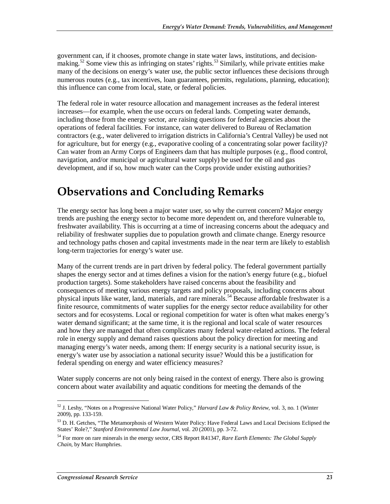government can, if it chooses, promote change in state water laws, institutions, and decisionmaking.<sup>52</sup> Some view this as infringing on states' rights.<sup>53</sup> Similarly, while private entities make many of the decisions on energy's water use, the public sector influences these decisions through numerous routes (e.g., tax incentives, loan guarantees, permits, regulations, planning, education); this influence can come from local, state, or federal policies.

The federal role in water resource allocation and management increases as the federal interest increases—for example, when the use occurs on federal lands. Competing water demands, including those from the energy sector, are raising questions for federal agencies about the operations of federal facilities. For instance, can water delivered to Bureau of Reclamation contractors (e.g., water delivered to irrigation districts in California's Central Valley) be used not for agriculture, but for energy (e.g., evaporative cooling of a concentrating solar power facility)? Can water from an Army Corps of Engineers dam that has multiple purposes (e.g., flood control, navigation, and/or municipal or agricultural water supply) be used for the oil and gas development, and if so, how much water can the Corps provide under existing authorities?

# **Observations and Concluding Remarks**

The energy sector has long been a major water user, so why the current concern? Major energy trends are pushing the energy sector to become more dependent on, and therefore vulnerable to, freshwater availability. This is occurring at a time of increasing concerns about the adequacy and reliability of freshwater supplies due to population growth and climate change. Energy resource and technology paths chosen and capital investments made in the near term are likely to establish long-term trajectories for energy's water use.

Many of the current trends are in part driven by federal policy. The federal government partially shapes the energy sector and at times defines a vision for the nation's energy future (e.g., biofuel production targets). Some stakeholders have raised concerns about the feasibility and consequences of meeting various energy targets and policy proposals, including concerns about physical inputs like water, land, materials, and rare minerals.<sup>54</sup> Because affordable freshwater is a finite resource, commitments of water supplies for the energy sector reduce availability for other sectors and for ecosystems. Local or regional competition for water is often what makes energy's water demand significant; at the same time, it is the regional and local scale of water resources and how they are managed that often complicates many federal water-related actions. The federal role in energy supply and demand raises questions about the policy direction for meeting and managing energy's water needs, among them: If energy security is a national security issue, is energy's water use by association a national security issue? Would this be a justification for federal spending on energy and water efficiency measures?

Water supply concerns are not only being raised in the context of energy. There also is growing concern about water availability and aquatic conditions for meeting the demands of the

<sup>-</sup>52 J. Leshy, "Notes on a Progressive National Water Policy," *Harvard Law & Policy Review*, vol. 3, no. 1 (Winter 2009), pp. 133-159.

<sup>&</sup>lt;sup>53</sup> D. H. Getches, "The Metamorphosis of Western Water Policy: Have Federal Laws and Local Decisions Eclipsed the States' Role?," *Stanford Environmental Law Journal*, vol. 20 (2001), pp. 3-72.

<sup>54</sup> For more on rare minerals in the energy sector, CRS Report R41347, *Rare Earth Elements: The Global Supply Chain*, by Marc Humphries.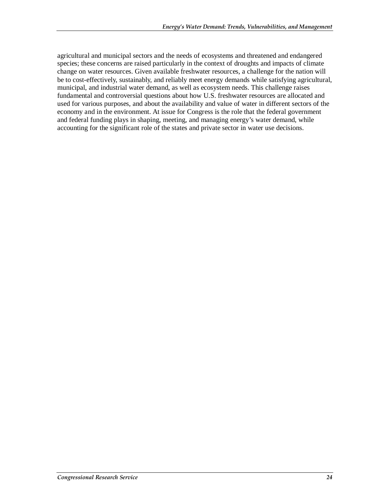agricultural and municipal sectors and the needs of ecosystems and threatened and endangered species; these concerns are raised particularly in the context of droughts and impacts of climate change on water resources. Given available freshwater resources, a challenge for the nation will be to cost-effectively, sustainably, and reliably meet energy demands while satisfying agricultural, municipal, and industrial water demand, as well as ecosystem needs. This challenge raises fundamental and controversial questions about how U.S. freshwater resources are allocated and used for various purposes, and about the availability and value of water in different sectors of the economy and in the environment. At issue for Congress is the role that the federal government and federal funding plays in shaping, meeting, and managing energy's water demand, while accounting for the significant role of the states and private sector in water use decisions.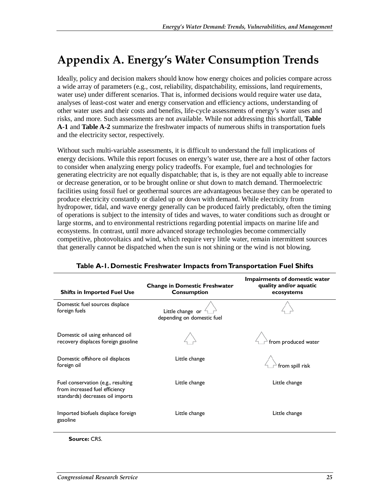# **Appendix A. Energy's Water Consumption Trends**

Ideally, policy and decision makers should know how energy choices and policies compare across a wide array of parameters (e.g., cost, reliability, dispatchability, emissions, land requirements, water use) under different scenarios. That is, informed decisions would require water use data, analyses of least-cost water and energy conservation and efficiency actions, understanding of other water uses and their costs and benefits, life-cycle assessments of energy's water uses and risks, and more. Such assessments are not available. While not addressing this shortfall, **Table A-1** and **Table A-2** summarize the freshwater impacts of numerous shifts in transportation fuels and the electricity sector, respectively.

Without such multi-variable assessments, it is difficult to understand the full implications of energy decisions. While this report focuses on energy's water use, there are a host of other factors to consider when analyzing energy policy tradeoffs. For example, fuel and technologies for generating electricity are not equally dispatchable; that is, is they are not equally able to increase or decrease generation, or to be brought online or shut down to match demand. Thermoelectric facilities using fossil fuel or geothermal sources are advantageous because they can be operated to produce electricity constantly or dialed up or down with demand. While electricity from hydropower, tidal, and wave energy generally can be produced fairly predictably, often the timing of operations is subject to the intensity of tides and waves, to water conditions such as drought or large storms, and to environmental restrictions regarding potential impacts on marine life and ecosystems. In contrast, until more advanced storage technologies become commercially competitive, photovoltaics and wind, which require very little water, remain intermittent sources that generally cannot be dispatched when the sun is not shining or the wind is not blowing.

| <b>Shifts in Imported Fuel Use</b>                                                                       | <b>Change in Domestic Freshwater</b><br><b>Consumption</b> | Impairments of domestic water<br>quality and/or aquatic<br>ecosystems |
|----------------------------------------------------------------------------------------------------------|------------------------------------------------------------|-----------------------------------------------------------------------|
| Domestic fuel sources displace<br>foreign fuels                                                          | Little change or<br>depending on domestic fuel             |                                                                       |
| Domestic oil using enhanced oil<br>recovery displaces foreign gasoline                                   |                                                            | from produced water                                                   |
| Domestic offshore oil displaces<br>foreign oil                                                           | Little change                                              | from spill risk                                                       |
| Fuel conservation (e.g., resulting<br>from increased fuel efficiency<br>standards) decreases oil imports | Little change                                              | Little change                                                         |
| Imported biofuels displace foreign<br>gasoline                                                           | Little change                                              | Little change                                                         |

| Table A-1. Domestic Freshwater Impacts from Transportation Fuel Shifts |  |  |  |  |
|------------------------------------------------------------------------|--|--|--|--|
|                                                                        |  |  |  |  |

**Source:** CRS.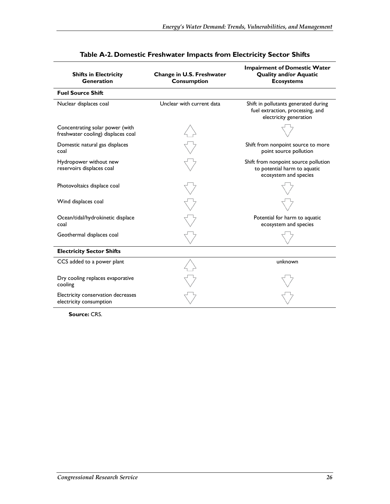| <b>Shifts in Electricity</b><br><b>Generation</b>                     | Change in U.S. Freshwater<br>Consumption | <b>Impairment of Domestic Water</b><br><b>Quality and/or Aquatic</b><br><b>Ecosystems</b>          |  |  |
|-----------------------------------------------------------------------|------------------------------------------|----------------------------------------------------------------------------------------------------|--|--|
| <b>Fuel Source Shift</b>                                              |                                          |                                                                                                    |  |  |
| Nuclear displaces coal                                                | Unclear with current data                | Shift in pollutants generated during<br>fuel extraction, processing, and<br>electricity generation |  |  |
| Concentrating solar power (with<br>freshwater cooling) displaces coal |                                          |                                                                                                    |  |  |
| Domestic natural gas displaces<br>coal                                |                                          | Shift from nonpoint source to more<br>point source pollution                                       |  |  |
| Hydropower without new<br>reservoirs displaces coal                   |                                          | Shift from nonpoint source pollution<br>to potential harm to aquatic<br>ecosystem and species      |  |  |
| Photovoltaics displace coal                                           |                                          |                                                                                                    |  |  |
| Wind displaces coal                                                   |                                          |                                                                                                    |  |  |
| Ocean/tidal/hydrokinetic displace<br>coal                             |                                          | Potential for harm to aquatic<br>ecosystem and species                                             |  |  |
| Geothermal displaces coal                                             |                                          |                                                                                                    |  |  |
| <b>Electricity Sector Shifts</b>                                      |                                          |                                                                                                    |  |  |
| CCS added to a power plant                                            |                                          | unknown                                                                                            |  |  |
| Dry cooling replaces evaporative<br>cooling                           |                                          |                                                                                                    |  |  |
| Electricity conservation decreases<br>electricity consumption         |                                          |                                                                                                    |  |  |

### **Table A-2. Domestic Freshwater Impacts from Electricity Sector Shifts**

**Source:** CRS.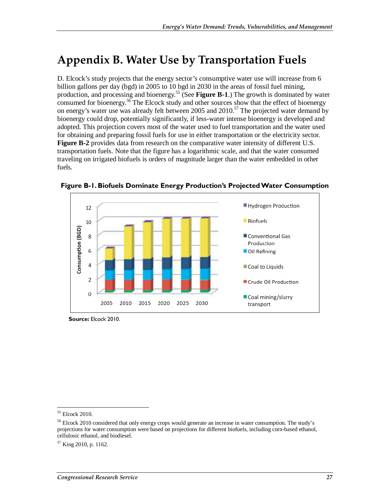# **Appendix B. Water Use by Transportation Fuels**

D. Elcock's study projects that the energy sector's consumptive water use will increase from 6 billion gallons per day (bgd) in 2005 to 10 bgd in 2030 in the areas of fossil fuel mining, production, and processing and bioenergy.55 (See **Figure B-1**.) The growth is dominated by water consumed for bioenergy.<sup>56</sup> The Elcock study and other sources show that the effect of bioenergy on energy's water use was already felt between 2005 and  $2010$ .<sup>57</sup> The projected water demand by bioenergy could drop, potentially significantly, if less-water intense bioenergy is developed and adopted. This projection covers most of the water used to fuel transportation and the water used for obtaining and preparing fossil fuels for use in either transportation or the electricity sector. **Figure B-2** provides data from research on the comparative water intensity of different U.S. transportation fuels. Note that the figure has a logarithmic scale, and that the water consumed traveling on irrigated biofuels is orders of magnitude larger than the water embedded in other fuels.



**Figure B-1. Biofuels Dominate Energy Production's Projected Water Consumption** 

**Source:** Elcock 2010.

 $\overline{a}$ 

<sup>55</sup> Elcock 2010.

<sup>56</sup> Elcock 2010 considered that only energy crops would generate an increase in water consumption. The study's projections for water consumption were based on projections for different biofuels, including corn-based ethanol, cellulosic ethanol, and biodiesel.

 $57$  King 2010, p. 1162.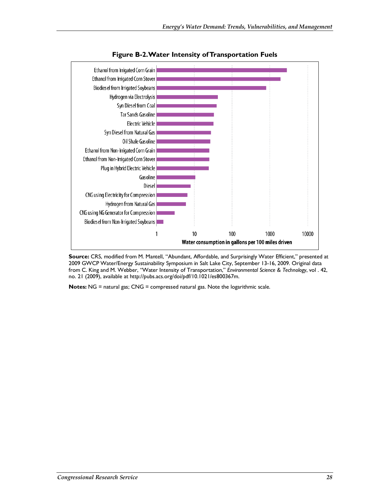

**Figure B-2. Water Intensity of Transportation Fuels** 

**Source:** CRS, modified from M. Mantell, "Abundant, Affordable, and Surprisingly Water Efficient," presented at 2009 GWCP Water/Energy Sustainability Symposium in Salt Lake City, September 13-16, 2009. Original data from C. King and M. Webber, "Water Intensity of Transportation," *Environmental Science & Technology*, vol . 42, no. 21 (2009), available at http://pubs.acs.org/doi/pdf/10.1021/es800367m.

**Notes:** NG = natural gas; CNG = compressed natural gas. Note the logarithmic scale.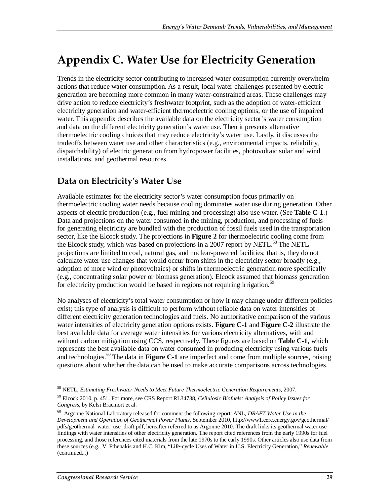# **Appendix C. Water Use for Electricity Generation**

Trends in the electricity sector contributing to increased water consumption currently overwhelm actions that reduce water consumption. As a result, local water challenges presented by electric generation are becoming more common in many water-constrained areas. These challenges may drive action to reduce electricity's freshwater footprint, such as the adoption of water-efficient electricity generation and water-efficient thermoelectric cooling options, or the use of impaired water. This appendix describes the available data on the electricity sector's water consumption and data on the different electricity generation's water use. Then it presents alternative thermoelectric cooling choices that may reduce electricity's water use. Lastly, it discusses the tradeoffs between water use and other characteristics (e.g., environmental impacts, reliability, dispatchability) of electric generation from hydropower facilities, photovoltaic solar and wind installations, and geothermal resources.

### **Data on Electricity's Water Use**

Available estimates for the electricity sector's water consumption focus primarily on thermoelectric cooling water needs because cooling dominates water use during generation. Other aspects of electric production (e.g., fuel mining and processing) also use water. (See **Table C-1**.) Data and projections on the water consumed in the mining, production, and processing of fuels for generating electricity are bundled with the production of fossil fuels used in the transportation sector, like the Elcock study. The projections in **Figure 2** for thermoelectric cooling come from the Elcock study, which was based on projections in a 2007 report by NETL.<sup>58</sup> The NETL projections are limited to coal, natural gas, and nuclear-powered facilities; that is, they do not calculate water use changes that would occur from shifts in the electricity sector broadly (e.g., adoption of more wind or photovoltaics) or shifts in thermoelectric generation more specifically (e.g., concentrating solar power or biomass generation). Elcock assumed that biomass generation for electricity production would be based in regions not requiring irrigation.<sup>59</sup>

No analyses of electricity's total water consumption or how it may change under different policies exist; this type of analysis is difficult to perform without reliable data on water intensities of different electricity generation technologies and fuels. No authoritative comparison of the various water intensities of electricity generation options exists. **Figure C-1** and **Figure C-2** illustrate the best available data for average water intensities for various electricity alternatives, with and without carbon mitigation using CCS, respectively. These figures are based on **Table C-1**, which represents the best available data on water consumed in producing electricity using various fuels and technologies.<sup>60</sup> The data in **Figure C-1** are imperfect and come from multiple sources, raising questions about whether the data can be used to make accurate comparisons across technologies.

<sup>-</sup>58 NETL, *Estimating Freshwater Needs to Meet Future Thermoelectric Generation Requirements*, 2007.

<sup>59</sup> Elcock 2010, p. 451. For more, see CRS Report RL34738, *Cellulosic Biofuels: Analysis of Policy Issues for Congress*, by Kelsi Bracmort et al.

<sup>60</sup> Argonne National Laboratory released for comment the following report: ANL, *DRAFT Water Use in the Development and Operation of Geothermal Power Plants*, September 2010, http://www1.eere.energy.gov/geothermal/ pdfs/geothermal\_water\_use\_draft.pdf, hereafter referred to as Argonne 2010. The draft links its geothermal water use findings with water intensities of other electricity generation. The report cited references from the early 1990s for fuel processing, and those references cited materials from the late 1970s to the early 1990s. Other articles also use data from these sources (e.g., V. Fthenakis and H.C. Kim, "Life-cycle Uses of Water in U.S. Electricity Generation," *Renewable*  (continued...)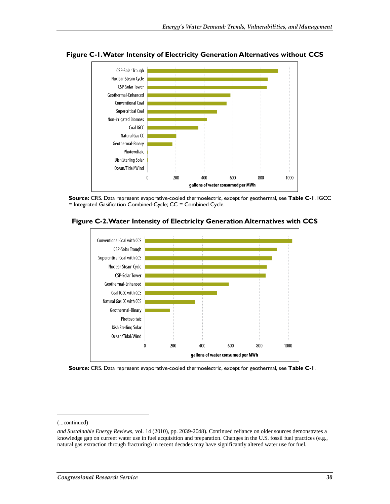

**Figure C-1. Water Intensity of Electricity Generation Alternatives without CCS** 

**Source:** CRS. Data represent evaporative-cooled thermoelectric, except for geothermal, see **Table C-1**. IGCC = Integrated Gasification Combined-Cycle; CC = Combined Cycle.



**Figure C-2. Water Intensity of Electricity Generation Alternatives with CCS** 



<u>.</u>

<sup>(...</sup>continued)

*and Sustainable Energy Reviews*, vol. 14 (2010), pp. 2039-2048). Continued reliance on older sources demonstrates a knowledge gap on current water use in fuel acquisition and preparation. Changes in the U.S. fossil fuel practices (e.g., natural gas extraction through fracturing) in recent decades may have significantly altered water use for fuel.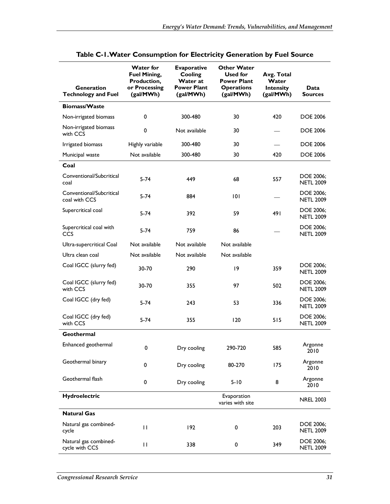| <b>Generation</b><br><b>Technology and Fuel</b> | <b>Water for</b><br><b>Fuel Mining,</b><br>Production,<br>or Processing<br>(gal/MWh) | <b>Evaporative</b><br>Cooling<br>Water at<br><b>Power Plant</b><br>(gal/MWh) | <b>Other Water</b><br>Used for<br><b>Power Plant</b><br><b>Operations</b><br>(gal/MWh) | Avg. Total<br>Water<br><b>Intensity</b><br>(gal/MWh) | Data<br><b>Sources</b>               |
|-------------------------------------------------|--------------------------------------------------------------------------------------|------------------------------------------------------------------------------|----------------------------------------------------------------------------------------|------------------------------------------------------|--------------------------------------|
| <b>Biomass/Waste</b>                            |                                                                                      |                                                                              |                                                                                        |                                                      |                                      |
| Non-irrigated biomass                           | 0                                                                                    | 300-480                                                                      | 30                                                                                     | 420                                                  | <b>DOE 2006</b>                      |
| Non-irrigated biomass<br>with CCS               | 0                                                                                    | Not available                                                                | 30                                                                                     |                                                      | <b>DOE 2006</b>                      |
| Irrigated biomass                               | Highly variable                                                                      | 300-480                                                                      | 30                                                                                     |                                                      | <b>DOE 2006</b>                      |
| Municipal waste                                 | Not available                                                                        | 300-480                                                                      | 30                                                                                     | 420                                                  | <b>DOE 2006</b>                      |
| Coal                                            |                                                                                      |                                                                              |                                                                                        |                                                      |                                      |
| Conventional/Subcritical<br>coal                | $5-74$                                                                               | 449                                                                          | 68                                                                                     | 557                                                  | DOE 2006;<br><b>NETL 2009</b>        |
| Conventional/Subcritical<br>coal with CCS       | 5-74                                                                                 | 884                                                                          | 0                                                                                      |                                                      | DOE 2006;<br><b>NETL 2009</b>        |
| Supercritical coal                              | $5-74$                                                                               | 392                                                                          | 59                                                                                     | 491                                                  | DOE 2006;<br><b>NETL 2009</b>        |
| Supercritical coal with<br>CCS                  | $5 - 74$                                                                             | 759                                                                          | 86                                                                                     |                                                      |                                      |
| Ultra-supercritical Coal                        | Not available                                                                        | Not available                                                                | Not available                                                                          |                                                      |                                      |
| Ultra clean coal                                | Not available                                                                        | Not available                                                                | Not available                                                                          |                                                      |                                      |
| Coal IGCC (slurry fed)                          | 30-70                                                                                | 290                                                                          | 9                                                                                      | 359                                                  | <b>DOE 2006:</b><br><b>NETL 2009</b> |
| Coal IGCC (slurry fed)<br>with CCS              | 30-70                                                                                | 355                                                                          | 97                                                                                     | 502                                                  | DOE 2006;<br><b>NETL 2009</b>        |
| Coal IGCC (dry fed)                             | $5 - 74$                                                                             | 243                                                                          | 53                                                                                     | 336                                                  | DOE 2006;<br><b>NETL 2009</b>        |
| Coal IGCC (dry fed)<br>with CCS                 | $5 - 74$                                                                             | 355                                                                          | 120                                                                                    | 515                                                  | <b>DOE 2006:</b><br><b>NETL 2009</b> |
| Geothermal                                      |                                                                                      |                                                                              |                                                                                        |                                                      |                                      |
| Enhanced geothermal                             | 0                                                                                    | Dry cooling                                                                  | 290-720                                                                                | 585                                                  | Argonne<br>2010                      |
| Geothermal binary                               | 0                                                                                    | Dry cooling                                                                  | 80-270<br>175                                                                          |                                                      | Argonne<br>2010                      |
| Geothermal flash                                | 0                                                                                    | Dry cooling                                                                  | 8<br>$5 - 10$                                                                          |                                                      | Argonne<br>2010                      |
| Hydroelectric                                   |                                                                                      |                                                                              | Evaporation<br>varies with site                                                        |                                                      | <b>NREL 2003</b>                     |
| <b>Natural Gas</b>                              |                                                                                      |                                                                              |                                                                                        |                                                      |                                      |
| Natural gas combined-<br>cycle                  | П                                                                                    | 192                                                                          | 0                                                                                      | 203                                                  | DOE 2006;<br><b>NETL 2009</b>        |
| Natural gas combined-<br>cycle with CCS         | П                                                                                    | 338                                                                          | 0                                                                                      | 349                                                  | DOE 2006;<br><b>NETL 2009</b>        |

### **Table C-1. Water Consumption for Electricity Generation by Fuel Source**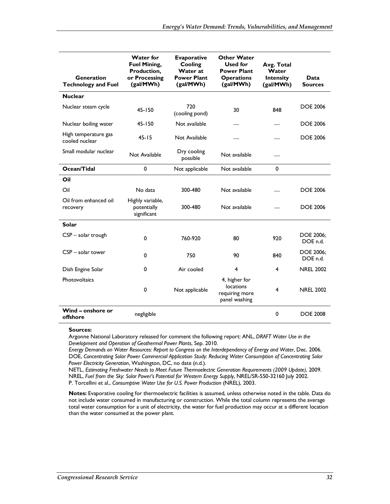| Generation<br><b>Technology and Fuel</b> | <b>Water for</b><br><b>Fuel Mining,</b><br>Production,<br>or Processing<br>(gal/MWh) | <b>Evaporative</b><br>Cooling<br>Water at<br><b>Power Plant</b><br>(gal/MWh) | <b>Other Water</b><br>Used for<br><b>Power Plant</b><br><b>Operations</b><br>(gal/MWh) | Avg. Total<br>Water<br><b>Intensity</b><br>(gal/MWh) | Data<br><b>Sources</b>       |
|------------------------------------------|--------------------------------------------------------------------------------------|------------------------------------------------------------------------------|----------------------------------------------------------------------------------------|------------------------------------------------------|------------------------------|
| <b>Nuclear</b>                           |                                                                                      |                                                                              |                                                                                        |                                                      |                              |
| Nuclear steam cycle                      | 45-150                                                                               | 720<br>(cooling pond)                                                        | 30<br>848                                                                              |                                                      | <b>DOE 2006</b>              |
| Nuclear boiling water                    | $45 - 150$                                                                           | Not available                                                                |                                                                                        |                                                      | <b>DOE 2006</b>              |
| High temperature gas<br>cooled nuclear   | $45 - 15$                                                                            | Not Available                                                                |                                                                                        |                                                      | <b>DOE 2006</b>              |
| Small modular nuclear                    | Not Available                                                                        | Dry cooling<br>possible                                                      | Not available                                                                          |                                                      |                              |
| Ocean/Tidal                              | 0                                                                                    | Not applicable                                                               | Not available                                                                          | 0                                                    |                              |
| Oil                                      |                                                                                      |                                                                              |                                                                                        |                                                      |                              |
| Oil                                      | No data                                                                              | 300-480                                                                      | Not available                                                                          |                                                      | <b>DOE 2006</b>              |
| Oil from enhanced oil<br>recovery        | Highly variable,<br>potentially<br>significant                                       | 300-480                                                                      | Not available                                                                          |                                                      | <b>DOE 2006</b>              |
| <b>Solar</b>                             |                                                                                      |                                                                              |                                                                                        |                                                      |                              |
| CSP - solar trough                       | 0                                                                                    | 760-920                                                                      | 80                                                                                     | 920                                                  | <b>DOE 2006:</b><br>DOE n.d. |
| $CSP - solar tower$                      | 0                                                                                    | 750                                                                          | 90                                                                                     | 840                                                  | DOE 2006;<br>DOE n.d.        |
| Dish Engine Solar                        | 0                                                                                    | Air cooled                                                                   | 4                                                                                      | 4                                                    | <b>NREL 2002</b>             |
| Photovoltaics                            | 0                                                                                    | Not applicable                                                               | 4, higher for<br><b>locations</b><br>requiring more<br>panel washing                   | 4                                                    | <b>NREL 2002</b>             |
| Wind - onshore or<br>offshore            | negligible                                                                           |                                                                              |                                                                                        | 0                                                    | <b>DOE 2008</b>              |

#### **Sources:**

Argonne National Laboratory released for comment the following report: ANL, *DRAFT Water Use in the Development and Operation of Geothermal Power Plants*, Sep. 2010.

*Energy Demands on Water Resources: Report to Congress on the Interdependency of Energy and Water*, Dec. 2006. DOE, *Concentrating Solar Power Commercial Application Study: Reducing Water Consumption of Concentrating Solar Power Electricity Generation*, Washington, DC, no date (n.d.).

NETL, *Estimating Freshwater Needs to Meet Future Thermoelectric Generation Requirements (2009 Update)*, 2009. NREL, *Fuel from the Sky: Solar Power's Potential for Western Energy Supply*, NREL/SR-550-32160 July 2002. P. Torcellini et al., *Consumptive Water Use for U.S. Power Production* (NREL), 2003.

**Notes:** Evaporative cooling for thermoelectric facilities is assumed, unless otherwise noted in the table. Data do not include water consumed in manufacturing or construction. While the total column represents the average total water consumption for a unit of electricity, the water for fuel production may occur at a different location than the water consumed at the power plant.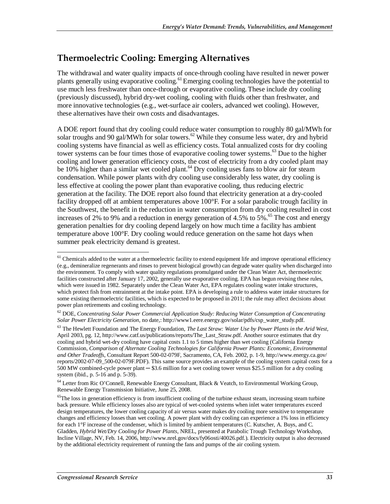## **Thermoelectric Cooling: Emerging Alternatives**

The withdrawal and water quality impacts of once-through cooling have resulted in newer power plants generally using evaporative cooling.<sup>61</sup> Emerging cooling technologies have the potential to use much less freshwater than once-through or evaporative cooling. These include dry cooling (previously discussed), hybrid dry-wet cooling, cooling with fluids other than freshwater, and more innovative technologies (e.g., wet-surface air coolers, advanced wet cooling). However, these alternatives have their own costs and disadvantages.

A DOE report found that dry cooling could reduce water consumption to roughly 80 gal/MWh for solar troughs and 90 gal/MWh for solar towers.<sup>62</sup> While they consume less water, dry and hybrid cooling systems have financial as well as efficiency costs. Total annualized costs for dry cooling tower systems can be four times those of evaporative cooling tower systems.<sup>63</sup> Due to the higher cooling and lower generation efficiency costs, the cost of electricity from a dry cooled plant may be 10% higher than a similar wet cooled plant.<sup>64</sup> Dry cooling uses fans to blow air for steam condensation. While power plants with dry cooling use considerably less water, dry cooling is less effective at cooling the power plant than evaporative cooling, thus reducing electric generation at the facility. The DOE report also found that electricity generation at a dry-cooled facility dropped off at ambient temperatures above 100°F. For a solar parabolic trough facility in the Southwest, the benefit in the reduction in water consumption from dry cooling resulted in cost increases of 2% to 9% and a reduction in energy generation of 4.5% to 5%.<sup>65</sup> The cost and energy generation penalties for dry cooling depend largely on how much time a facility has ambient temperature above 100°F. Dry cooling would reduce generation on the same hot days when summer peak electricity demand is greatest.

64 Letter from Ric O'Connell, Renewable Energy Consultant, Black & Veatch, to Environmental Working Group, Renewable Energy Transmission Initiative, June 25, 2008.

<sup>-</sup> $<sup>61</sup>$  Chemicals added to the water at a thermoelectric facility to extend equipment life and improve operational efficiency</sup> (e.g., demineralize regenerants and rinses to prevent biological growth) can degrade water quality when discharged into the environment. To comply with water quality regulations promulgated under the Clean Water Act, thermoelectric facilities constructed after January 17, 2002, generally use evaporative cooling. EPA has begun revising these rules, which were issued in 1982. Separately under the Clean Water Act, EPA regulates cooling water intake structures, which protect fish from entrainment at the intake point. EPA is developing a rule to address water intake structures for some existing thermoelectric facilities, which is expected to be proposed in 2011; the rule may affect decisions about power plan retirements and cooling technology.

<sup>62</sup> DOE, *Concentrating Solar Power Commercial Application Study: Reducing Water Consumption of Concentrating Solar Power Electricity Generation*, no date,: http://www1.eere.energy.gov/solar/pdfs/csp\_water\_study.pdf.

<sup>63</sup> The Hewlett Foundation and The Energy Foundation, *The Last Straw: Water Use by Power Plants in the Arid West*, April 2003, pg. 12, http://www.catf.us/publications/reports/The\_Last\_Straw.pdf. Another source estimates that dry cooling and hybrid wet-dry cooling have capital costs 1.1 to 5 times higher than wet cooling (California Energy Commission, *Comparison of Alternate Cooling Technologies for California Power Plants: Economic, Environmental and Other Tradeoffs*, Consultant Report 500-02-079F, Sacramento, CA, Feb. 2002, p. 1-9, http://www.energy.ca.gov/ reports/2002-07-09\_500-02-079F.PDF). This same source provides an example of the cooling system capital costs for a 500 MW combined-cycle power plant ─ \$3.6 million for a wet cooling tower versus \$25.5 million for a dry cooling system (ibid., p. 5-16 and p. 5-39).

<sup>&</sup>lt;sup>65</sup>The loss in generation efficiency is from insufficient cooling of the turbine exhaust steam, increasing steam turbine back pressure. While efficiency losses also are typical of wet-cooled systems when inlet water temperatures exceed design temperatures, the lower cooling capacity of air versus water makes dry cooling more sensitive to temperature changes and efficiency losses than wet cooling. A power plant with dry cooling can experience a 1% loss in efficiency for each 1°F increase of the condenser, which is limited by ambient temperatures (C. Kutscher, A. Buys, and C. Gladden, *Hybrid Wet/Dry Cooling for Power Plants*, NREL, presented at Parabolic Trough Technology Workshop, Incline Village, NV, Feb. 14, 2006, http://www.nrel.gov/docs/fy06osti/40026.pdf.). Electricity output is also decreased by the additional electricity requirement of running the fans and pumps of the air cooling system.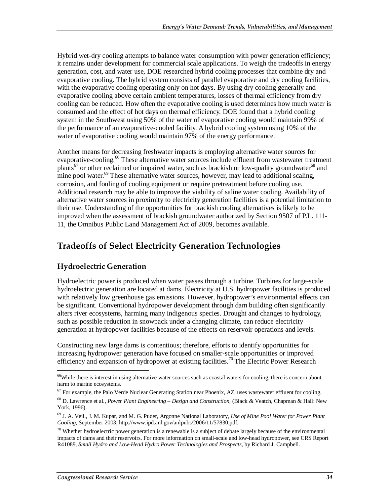Hybrid wet-dry cooling attempts to balance water consumption with power generation efficiency; it remains under development for commercial scale applications. To weigh the tradeoffs in energy generation, cost, and water use, DOE researched hybrid cooling processes that combine dry and evaporative cooling. The hybrid system consists of parallel evaporative and dry cooling facilities, with the evaporative cooling operating only on hot days. By using dry cooling generally and evaporative cooling above certain ambient temperatures, losses of thermal efficiency from dry cooling can be reduced. How often the evaporative cooling is used determines how much water is consumed and the effect of hot days on thermal efficiency. DOE found that a hybrid cooling system in the Southwest using 50% of the water of evaporative cooling would maintain 99% of the performance of an evaporative-cooled facility. A hybrid cooling system using 10% of the water of evaporative cooling would maintain 97% of the energy performance.

Another means for decreasing freshwater impacts is employing alternative water sources for evaporative-cooling.<sup>66</sup> These alternative water sources include effluent from wastewater treatment plants<sup>67</sup> or other reclaimed or impaired water, such as brackish or low-quality groundwater<sup>68</sup> and mine pool water.<sup>69</sup> These alternative water sources, however, may lead to additional scaling, corrosion, and fouling of cooling equipment or require pretreatment before cooling use. Additional research may be able to improve the viability of saline water cooling. Availability of alternative water sources in proximity to electricity generation facilities is a potential limitation to their use. Understanding of the opportunities for brackish cooling alternatives is likely to be improved when the assessment of brackish groundwater authorized by Section 9507 of P.L. 111- 11, the Omnibus Public Land Management Act of 2009, becomes available.

## **Tradeoffs of Select Electricity Generation Technologies**

### **Hydroelectric Generation**

Hydroelectric power is produced when water passes through a turbine. Turbines for large-scale hydroelectric generation are located at dams. Electricity at U.S. hydropower facilities is produced with relatively low greenhouse gas emissions. However, hydropower's environmental effects can be significant. Conventional hydropower development through dam building often significantly alters river ecosystems, harming many indigenous species. Drought and changes to hydrology, such as possible reduction in snowpack under a changing climate, can reduce electricity generation at hydropower facilities because of the effects on reservoir operations and levels.

Constructing new large dams is contentious; therefore, efforts to identify opportunities for increasing hydropower generation have focused on smaller-scale opportunities or improved efficiency and expansion of hydropower at existing facilities.<sup>70</sup> The Electric Power Research

<u>.</u>

<sup>&</sup>lt;sup>66</sup>While there is interest in using alternative water sources such as coastal waters for cooling, there is concern about harm to marine ecosystems.

 $67$  For example, the Palo Verde Nuclear Generating Station near Phoenix, AZ, uses wastewater effluent for cooling.

<sup>68</sup> D. Lawrence et al., *Power Plant Engineering – Design and Construction*, (Black & Veatch, Chapman & Hall: New York, 1996).

<sup>69</sup> J. A. Veil., J. M. Kupar, and M. G. Puder, Argonne National Laboratory, *Use of Mine Pool Water for Power Plant Cooling*, September 2003, http://www.ipd.anl.gov/anlpubs/2006/11/57830.pdf.

 $70$  Whether hydroelectric power generation is a renewable is a subject of debate largely because of the environmental impacts of dams and their reservoirs. For more information on small-scale and low-head hydropower, see CRS Report R41089, *Small Hydro and Low-Head Hydro Power Technologies and Prospects*, by Richard J. Campbell.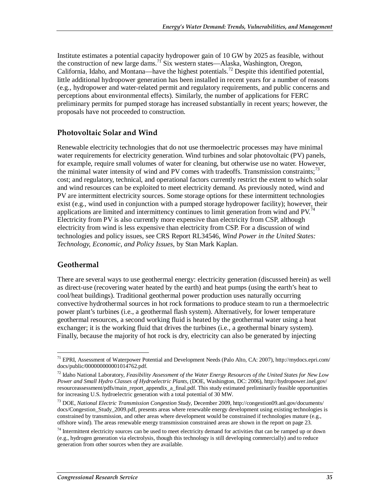Institute estimates a potential capacity hydropower gain of 10 GW by 2025 as feasible, without the construction of new large dams.71 Six western states—Alaska, Washington, Oregon, California, Idaho, and Montana—have the highest potentials.72 Despite this identified potential, little additional hydropower generation has been installed in recent years for a number of reasons (e.g., hydropower and water-related permit and regulatory requirements, and public concerns and perceptions about environmental effects). Similarly, the number of applications for FERC preliminary permits for pumped storage has increased substantially in recent years; however, the proposals have not proceeded to construction.

### **Photovoltaic Solar and Wind**

Renewable electricity technologies that do not use thermoelectric processes may have minimal water requirements for electricity generation. Wind turbines and solar photovoltaic (PV) panels, for example, require small volumes of water for cleaning, but otherwise use no water. However, the minimal water intensity of wind and PV comes with tradeoffs. Transmission constraints:<sup>73</sup> cost; and regulatory, technical, and operational factors currently restrict the extent to which solar and wind resources can be exploited to meet electricity demand. As previously noted, wind and PV are intermittent electricity sources. Some storage options for these intermittent technologies exist (e.g., wind used in conjunction with a pumped storage hydropower facility); however, their applications are limited and intermittency continues to limit generation from wind and PV.<sup>74</sup> Electricity from PV is also currently more expensive than electricity from CSP, although electricity from wind is less expensive than electricity from CSP. For a discussion of wind technologies and policy issues, see CRS Report RL34546, *Wind Power in the United States: Technology, Economic, and Policy Issues*, by Stan Mark Kaplan.

### **Geothermal**

There are several ways to use geothermal energy: electricity generation (discussed herein) as well as direct-use (recovering water heated by the earth) and heat pumps (using the earth's heat to cool/heat buildings). Traditional geothermal power production uses naturally occurring convective hydrothermal sources in hot rock formations to produce steam to run a thermoelectric power plant's turbines (i.e., a geothermal flash system). Alternatively, for lower temperature geothermal resources, a second working fluid is heated by the geothermal water using a heat exchanger; it is the working fluid that drives the turbines (i.e., a geothermal binary system). Finally, because the majority of hot rock is dry, electricity can also be generated by injecting

<sup>-</sup><sup>71</sup> EPRI, Assessment of Waterpower Potential and Development Needs (Palo Alto, CA: 2007), http://mydocs.epri.com/ docs/public/000000000001014762.pdf.

<sup>72</sup> Idaho National Laboratory, *Feasibility Assessment of the Water Energy Resources of the United States for New Low Power and Small Hydro Classes of Hydroelectric Plants*, (DOE, Washington, DC: 2006), http://hydropower.inel.gov/ resourceassessment/pdfs/main\_report\_appendix\_a\_final.pdf. This study estimated preliminarily feasible opportunities for increasing U.S. hydroelectric generation with a total potential of 30 MW.

<sup>73</sup> DOE, *National Electric Transmission Congestion Study*, December 2009, http://congestion09.anl.gov/documents/ docs/Congestion\_Study\_2009.pdf, presents areas where renewable energy development using existing technologies is constrained by transmission, and other areas where development would be constrained if technologies mature (e.g., offshore wind). The areas renewable energy transmission constrained areas are shown in the report on page 23.

 $74$  Intermittent electricity sources can be used to meet electricity demand for activities that can be ramped up or down (e.g., hydrogen generation via electrolysis, though this technology is still developing commercially) and to reduce generation from other sources when they are available.